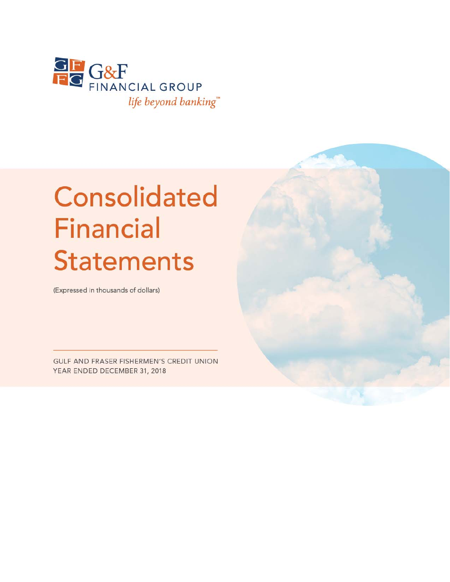

# **Consolidated Financial Statements**

(Expressed in thousands of dollars)

**GULF AND FRASER FISHERMEN'S CREDIT UNION** YEAR ENDED DECEMBER 31, 2018

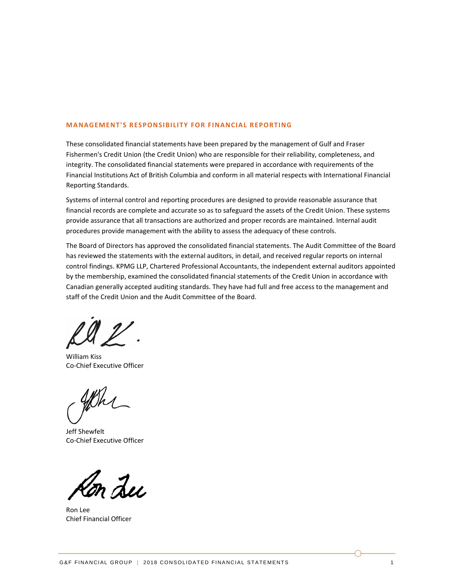#### **MANAGEMENT'S RESPONSIBILITY FOR FINANCIAL REPORTING**

These consolidated financial statements have been prepared by the management of Gulf and Fraser Fishermen's Credit Union (the Credit Union) who are responsible for their reliability, completeness, and integrity. The consolidated financial statements were prepared in accordance with requirements of the Financial Institutions Act of British Columbia and conform in all material respects with International Financial Reporting Standards.

Systems of internal control and reporting procedures are designed to provide reasonable assurance that financial records are complete and accurate so as to safeguard the assets of the Credit Union. These systems provide assurance that all transactions are authorized and proper records are maintained. Internal audit procedures provide management with the ability to assess the adequacy of these controls.

The Board of Directors has approved the consolidated financial statements. The Audit Committee of the Board has reviewed the statements with the external auditors, in detail, and received regular reports on internal control findings. KPMG LLP, Chartered Professional Accountants, the independent external auditors appointed by the membership, examined the consolidated financial statements of the Credit Union in accordance with Canadian generally accepted auditing standards. They have had full and free access to the management and staff of the Credit Union and the Audit Committee of the Board.

William Kiss Co‐Chief Executive Officer

Jeff Shewfelt Co‐Chief Executive Officer

m Lei

Ron Lee Chief Financial Officer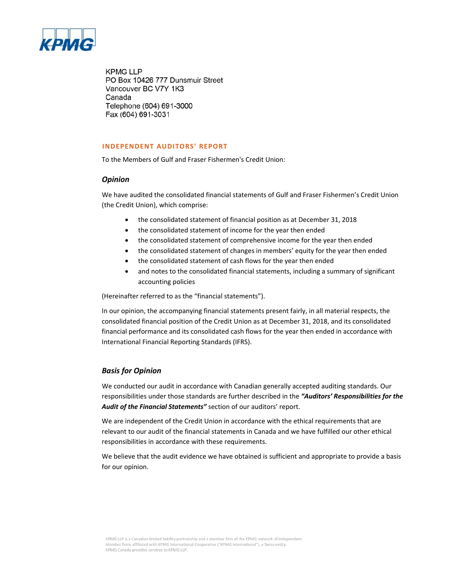

**KPMG LLP** PO Box 10426 777 Dunsmuir Street Vancouver BC V7Y 1K3 Canada Telephone (604) 691-3000 Fax (604) 691-3031

#### **INDEPENDENT AUDITORS' REPORT**

To the Members of Gulf and Fraser Fishermen's Credit Union:

#### *Opinion*

We have audited the consolidated financial statements of Gulf and Fraser Fishermen's Credit Union (the Credit Union), which comprise:

- the consolidated statement of financial position as at December 31, 2018
- the consolidated statement of income for the year then ended
- the consolidated statement of comprehensive income for the year then ended
- the consolidated statement of changes in members' equity for the year then ended
- the consolidated statement of cash flows for the year then ended
- and notes to the consolidated financial statements, including a summary of significant accounting policies

(Hereinafter referred to as the "financial statements").

In our opinion, the accompanying financial statements present fairly, in all material respects, the consolidated financial position of the Credit Union as at December 31, 2018, and its consolidated financial performance and its consolidated cash flows for the year then ended in accordance with International Financial Reporting Standards (IFRS).

#### *Basis for Opinion*

We conducted our audit in accordance with Canadian generally accepted auditing standards. Our responsibilities under those standards are further described in the *"Auditors' Responsibilities for the Audit of the Financial Statements"* section of our auditors' report.

We are independent of the Credit Union in accordance with the ethical requirements that are relevant to our audit of the financial statements in Canada and we have fulfilled our other ethical responsibilities in accordance with these requirements.

We believe that the audit evidence we have obtained is sufficient and appropriate to provide a basis for our opinion.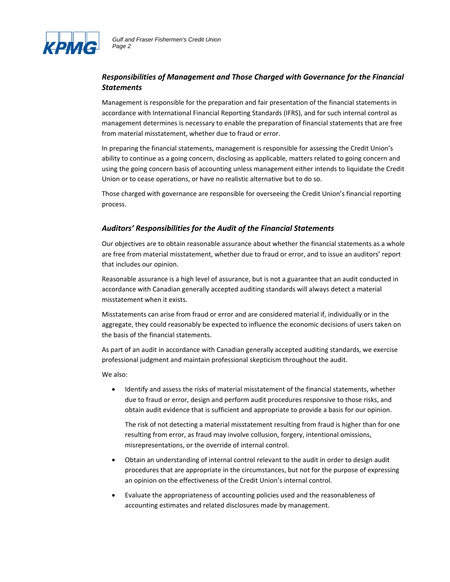

#### *Responsibilities of Management and Those Charged with Governance for the Financial Statements*

Management is responsible for the preparation and fair presentation of the financial statements in accordance with International Financial Reporting Standards (IFRS), and for such internal control as management determines is necessary to enable the preparation of financial statements that are free from material misstatement, whether due to fraud or error.

In preparing the financial statements, management is responsible for assessing the Credit Union's ability to continue as a going concern, disclosing as applicable, matters related to going concern and using the going concern basis of accounting unless management either intends to liquidate the Credit Union or to cease operations, or have no realistic alternative but to do so.

Those charged with governance are responsible for overseeing the Credit Union's financial reporting process.

#### *Auditors' Responsibilities for the Audit of the Financial Statements*

Our objectives are to obtain reasonable assurance about whether the financial statements as a whole are free from material misstatement, whether due to fraud or error, and to issue an auditors' report that includes our opinion.

Reasonable assurance is a high level of assurance, but is not a guarantee that an audit conducted in accordance with Canadian generally accepted auditing standards will always detect a material misstatement when it exists.

Misstatements can arise from fraud or error and are considered material if, individually or in the aggregate, they could reasonably be expected to influence the economic decisions of users taken on the basis of the financial statements.

As part of an audit in accordance with Canadian generally accepted auditing standards, we exercise professional judgment and maintain professional skepticism throughout the audit.

We also:

 Identify and assess the risks of material misstatement of the financial statements, whether due to fraud or error, design and perform audit procedures responsive to those risks, and obtain audit evidence that is sufficient and appropriate to provide a basis for our opinion.

The risk of not detecting a material misstatement resulting from fraud is higher than for one resulting from error, as fraud may involve collusion, forgery, intentional omissions, misrepresentations, or the override of internal control.

- Obtain an understanding of internal control relevant to the audit in order to design audit procedures that are appropriate in the circumstances, but not for the purpose of expressing an opinion on the effectiveness of the Credit Union's internal control.
- Evaluate the appropriateness of accounting policies used and the reasonableness of accounting estimates and related disclosures made by management.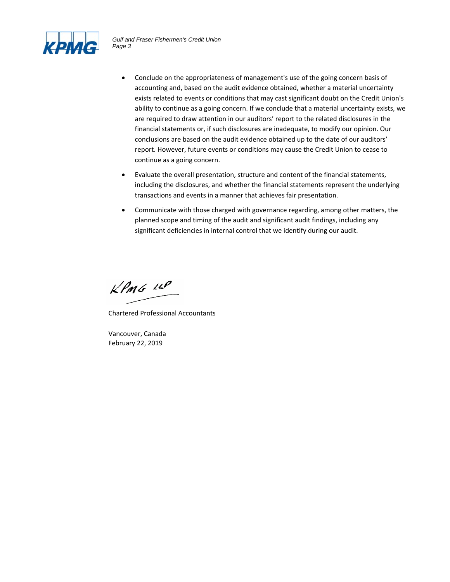

- Conclude on the appropriateness of management's use of the going concern basis of accounting and, based on the audit evidence obtained, whether a material uncertainty exists related to events or conditions that may cast significant doubt on the Credit Union's ability to continue as a going concern. If we conclude that a material uncertainty exists, we are required to draw attention in our auditors' report to the related disclosures in the financial statements or, if such disclosures are inadequate, to modify our opinion. Our conclusions are based on the audit evidence obtained up to the date of our auditors' report. However, future events or conditions may cause the Credit Union to cease to continue as a going concern.
- Evaluate the overall presentation, structure and content of the financial statements, including the disclosures, and whether the financial statements represent the underlying transactions and events in a manner that achieves fair presentation.
- Communicate with those charged with governance regarding, among other matters, the planned scope and timing of the audit and significant audit findings, including any significant deficiencies in internal control that we identify during our audit.

 $KPMS$  12P

Chartered Professional Accountants

Vancouver, Canada February 22, 2019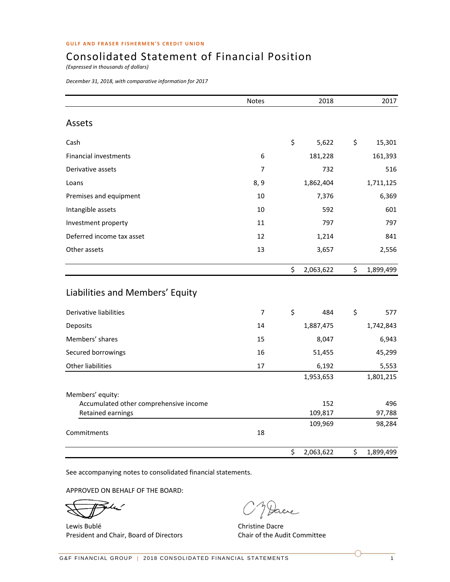# Consolidated Statement of Financial Position

*(Expressed in thousands of dollars)*

*December 31, 2018, with comparative information for 2017*

|                                        | <b>Notes</b>   | 2018            | 2017            |
|----------------------------------------|----------------|-----------------|-----------------|
| Assets                                 |                |                 |                 |
| Cash                                   |                | \$<br>5,622     | \$<br>15,301    |
| Financial investments                  | 6              | 181,228         | 161,393         |
| Derivative assets                      | 7              | 732             | 516             |
| Loans                                  | 8, 9           | 1,862,404       | 1,711,125       |
| Premises and equipment                 | 10             | 7,376           | 6,369           |
| Intangible assets                      | 10             | 592             | 601             |
| Investment property                    | 11             | 797             | 797             |
| Deferred income tax asset              | 12             | 1,214           | 841             |
| Other assets                           | 13             | 3,657           | 2,556           |
|                                        |                | \$<br>2,063,622 | \$<br>1,899,499 |
| Liabilities and Members' Equity        |                |                 |                 |
| Derivative liabilities                 | $\overline{7}$ | \$<br>484       | \$<br>577       |
| Deposits                               | 14             | 1,887,475       | 1,742,843       |
| Members' shares                        | 15             | 8,047           | 6,943           |
| Secured borrowings                     | 16             | 51,455          | 45,299          |
| Other liabilities                      | 17             | 6,192           | 5,553           |
|                                        |                | 1,953,653       | 1,801,215       |
| Members' equity:                       |                |                 |                 |
| Accumulated other comprehensive income |                | 152             | 496             |
| Retained earnings                      |                | 109,817         | 97,788          |
| Commitments                            | 18             | 109,969         | 98,284          |
|                                        |                | \$<br>2,063,622 | \$<br>1,899,499 |

See accompanying notes to consolidated financial statements.

APPROVED ON BEHALF OF THE BOARD:

م یا  $\rightarrow$ 

Lewis Bublé **Christian Christian Christian Christian Christian Christian Christian Christian Christian Christian Christian Christian Christian Christian Christian Christian Christian Christian Christian Christian Christian** President and Chair, Board of Directors **Chair of the Audit Committee** 

Jacre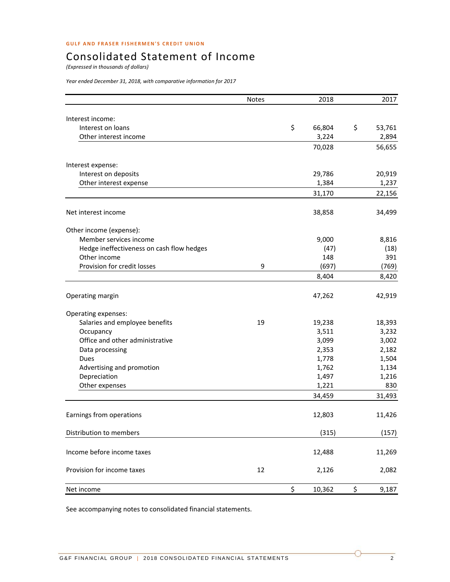# Consolidated Statement of Income

*(Expressed in thousands of dollars)*

*Year ended December 31, 2018, with comparative information for 2017*

|                                            | <b>Notes</b> | 2018         | 2017         |
|--------------------------------------------|--------------|--------------|--------------|
|                                            |              |              |              |
| Interest income:                           |              |              |              |
| Interest on loans<br>Other interest income |              | \$<br>66,804 | \$<br>53,761 |
|                                            |              | 3,224        | 2,894        |
|                                            |              | 70,028       | 56,655       |
| Interest expense:                          |              |              |              |
| Interest on deposits                       |              | 29,786       | 20,919       |
| Other interest expense                     |              | 1,384        | 1,237        |
|                                            |              | 31,170       | 22,156       |
| Net interest income                        |              | 38,858       | 34,499       |
| Other income (expense):                    |              |              |              |
| Member services income                     |              | 9,000        | 8,816        |
| Hedge ineffectiveness on cash flow hedges  |              | (47)         | (18)         |
| Other income                               |              | 148          | 391          |
| Provision for credit losses                | 9            | (697)        | (769)        |
|                                            |              | 8,404        | 8,420        |
| Operating margin                           |              | 47,262       | 42,919       |
| Operating expenses:                        |              |              |              |
| Salaries and employee benefits             | 19           | 19,238       | 18,393       |
| Occupancy                                  |              | 3,511        | 3,232        |
| Office and other administrative            |              | 3,099        | 3,002        |
| Data processing                            |              | 2,353        | 2,182        |
| Dues                                       |              | 1,778        | 1,504        |
| Advertising and promotion                  |              | 1,762        | 1,134        |
| Depreciation                               |              | 1,497        | 1,216        |
| Other expenses                             |              | 1,221        | 830          |
|                                            |              | 34,459       | 31,493       |
| Earnings from operations                   |              | 12,803       | 11,426       |
| Distribution to members                    |              | (315)        | (157)        |
| Income before income taxes                 |              | 12,488       | 11,269       |
| Provision for income taxes                 | 12           | 2,126        | 2,082        |
| Net income                                 |              | \$<br>10,362 | \$<br>9,187  |

See accompanying notes to consolidated financial statements.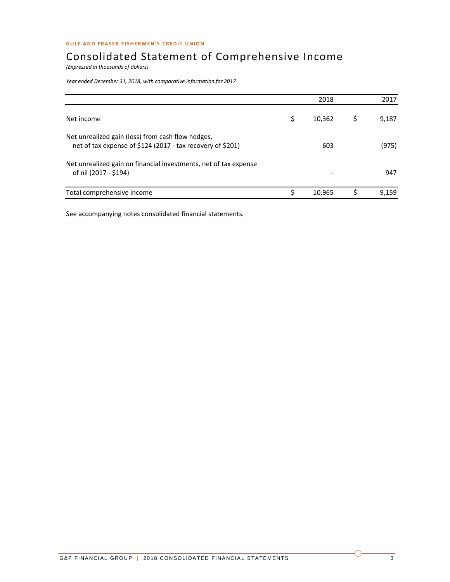# Consolidated Statement of Comprehensive Income

*(Expressed in thousands of dollars)*

*Year ended December 31, 2018, with comparative information for 2017*

|                                                                                                                 |   | 2018   | 2017  |
|-----------------------------------------------------------------------------------------------------------------|---|--------|-------|
| Net income                                                                                                      | Ś | 10,362 | 9,187 |
| Net unrealized gain (loss) from cash flow hedges,<br>net of tax expense of \$124 (2017 - tax recovery of \$201) |   | 603    | (975) |
| Net unrealized gain on financial investments, net of tax expense<br>of nil (2017 - \$194)                       |   |        | 947   |
| Total comprehensive income                                                                                      |   | 10,965 | 9.159 |

See accompanying notes consolidated financial statements.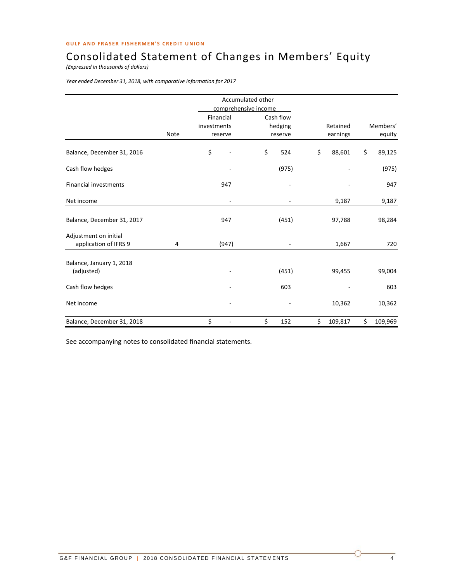# Consolidated Statement of Changes in Members' Equity

*(Expressed in thousands of dollars)*

*Year ended December 31, 2018, with comparative information for 2017*

|                                                |      | Accumulated other        |           |               |               |
|------------------------------------------------|------|--------------------------|-----------|---------------|---------------|
|                                                |      | comprehensive income     |           |               |               |
|                                                |      | Financial                | Cash flow |               |               |
|                                                |      | investments              | hedging   | Retained      | Members'      |
|                                                | Note | reserve                  | reserve   | earnings      | equity        |
| Balance, December 31, 2016                     |      | \$                       | \$<br>524 | \$<br>88,601  | \$<br>89,125  |
| Cash flow hedges                               |      |                          | (975)     |               | (975)         |
| <b>Financial investments</b>                   |      | 947                      |           |               | 947           |
| Net income                                     |      | $\overline{\phantom{a}}$ |           | 9,187         | 9,187         |
| Balance, December 31, 2017                     |      | 947                      | (451)     | 97,788        | 98,284        |
| Adjustment on initial<br>application of IFRS 9 | 4    | (947)                    |           | 1,667         | 720           |
| Balance, January 1, 2018<br>(adjusted)         |      |                          | (451)     | 99,455        | 99,004        |
| Cash flow hedges                               |      |                          | 603       |               | 603           |
| Net income                                     |      |                          |           | 10,362        | 10,362        |
| Balance, December 31, 2018                     |      | \$                       | \$<br>152 | \$<br>109,817 | \$<br>109,969 |

See accompanying notes to consolidated financial statements.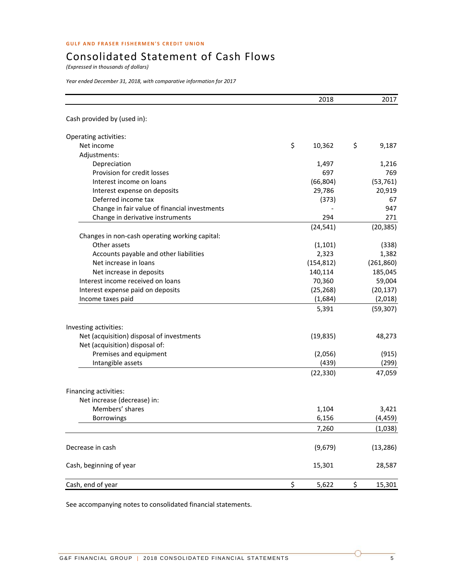# Consolidated Statement of Cash Flows

*(Expressed in thousands of dollars)*

*Year ended December 31, 2018, with comparative information for 2017*

|                                                | 2018         | 2017         |
|------------------------------------------------|--------------|--------------|
| Cash provided by (used in):                    |              |              |
| Operating activities:                          |              |              |
| Net income                                     | \$<br>10,362 | \$<br>9,187  |
| Adjustments:                                   |              |              |
| Depreciation                                   | 1,497        | 1,216        |
| Provision for credit losses                    | 697          | 769          |
| Interest income on loans                       | (66, 804)    | (53, 761)    |
| Interest expense on deposits                   | 29,786       | 20,919       |
| Deferred income tax                            | (373)        | 67           |
| Change in fair value of financial investments  |              | 947          |
| Change in derivative instruments               | 294          | 271          |
|                                                | (24, 541)    | (20, 385)    |
| Changes in non-cash operating working capital: |              |              |
| Other assets                                   | (1, 101)     | (338)        |
| Accounts payable and other liabilities         | 2,323        | 1,382        |
| Net increase in loans                          | (154, 812)   | (261, 860)   |
| Net increase in deposits                       | 140,114      | 185,045      |
| Interest income received on loans              | 70,360       | 59,004       |
| Interest expense paid on deposits              | (25, 268)    | (20, 137)    |
| Income taxes paid                              | (1,684)      | (2,018)      |
|                                                | 5,391        | (59, 307)    |
| Investing activities:                          |              |              |
| Net (acquisition) disposal of investments      | (19, 835)    | 48,273       |
| Net (acquisition) disposal of:                 |              |              |
| Premises and equipment                         | (2,056)      | (915)        |
| Intangible assets                              | (439)        | (299)        |
|                                                | (22, 330)    | 47,059       |
| Financing activities:                          |              |              |
| Net increase (decrease) in:                    |              |              |
| Members' shares                                | 1,104        | 3,421        |
| <b>Borrowings</b>                              | 6,156        | (4, 459)     |
|                                                | 7,260        | (1,038)      |
| Decrease in cash                               | (9,679)      | (13, 286)    |
| Cash, beginning of year                        | 15,301       | 28,587       |
| Cash, end of year                              | \$<br>5,622  | \$<br>15,301 |

See accompanying notes to consolidated financial statements.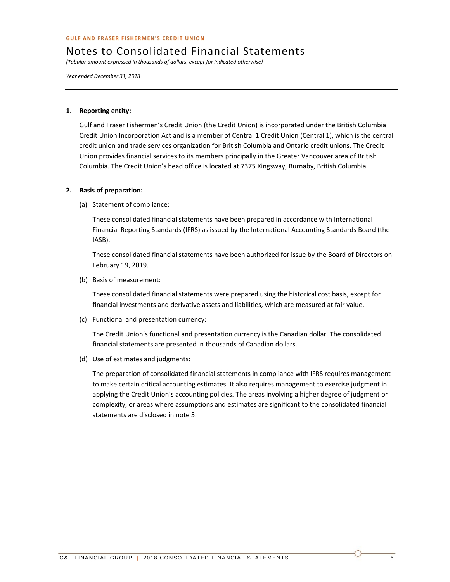*(Tabular amount expressed in thousands of dollars, except for indicated otherwise)*

*Year ended December 31, 2018*

#### **1. Reporting entity:**

Gulf and Fraser Fishermen's Credit Union (the Credit Union) is incorporated under the British Columbia Credit Union Incorporation Act and is a member of Central 1 Credit Union (Central 1), which is the central credit union and trade services organization for British Columbia and Ontario credit unions. The Credit Union provides financial services to its members principally in the Greater Vancouver area of British Columbia. The Credit Union's head office is located at 7375 Kingsway, Burnaby, British Columbia.

#### **2. Basis of preparation:**

(a) Statement of compliance:

These consolidated financial statements have been prepared in accordance with International Financial Reporting Standards (IFRS) as issued by the International Accounting Standards Board (the IASB).

These consolidated financial statements have been authorized for issue by the Board of Directors on February 19, 2019.

(b) Basis of measurement:

These consolidated financial statements were prepared using the historical cost basis, except for financial investments and derivative assets and liabilities, which are measured at fair value.

(c) Functional and presentation currency:

The Credit Union's functional and presentation currency is the Canadian dollar. The consolidated financial statements are presented in thousands of Canadian dollars.

(d) Use of estimates and judgments:

The preparation of consolidated financial statements in compliance with IFRS requires management to make certain critical accounting estimates. It also requires management to exercise judgment in applying the Credit Union's accounting policies. The areas involving a higher degree of judgment or complexity, or areas where assumptions and estimates are significant to the consolidated financial statements are disclosed in note 5.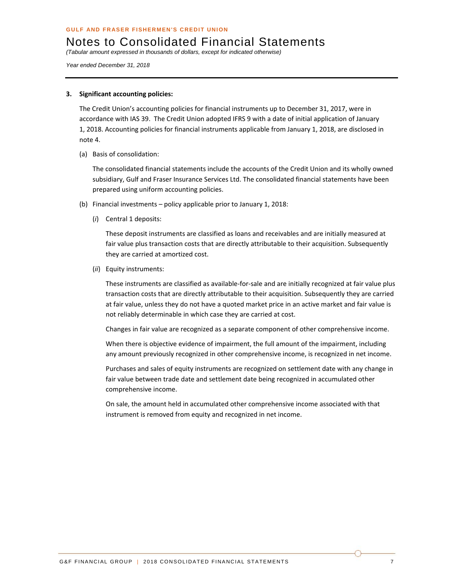*(Tabular amount expressed in thousands of dollars, except for indicated otherwise)* 

*Year ended December 31, 2018* 

#### **3. Significant accounting policies:**

The Credit Union's accounting policies for financial instruments up to December 31, 2017, were in accordance with IAS 39. The Credit Union adopted IFRS 9 with a date of initial application of January 1, 2018. Accounting policies for financial instruments applicable from January 1, 2018, are disclosed in note 4.

(a) Basis of consolidation:

The consolidated financial statements include the accounts of the Credit Union and its wholly owned subsidiary, Gulf and Fraser Insurance Services Ltd. The consolidated financial statements have been prepared using uniform accounting policies.

- (b) Financial investments policy applicable prior to January 1, 2018:
	- (*i*) Central 1 deposits:

These deposit instruments are classified as loans and receivables and are initially measured at fair value plus transaction costs that are directly attributable to their acquisition. Subsequently they are carried at amortized cost.

(*ii*) Equity instruments:

These instruments are classified as available‐for‐sale and are initially recognized at fair value plus transaction costs that are directly attributable to their acquisition. Subsequently they are carried at fair value, unless they do not have a quoted market price in an active market and fair value is not reliably determinable in which case they are carried at cost.

Changes in fair value are recognized as a separate component of other comprehensive income.

When there is objective evidence of impairment, the full amount of the impairment, including any amount previously recognized in other comprehensive income, is recognized in net income.

Purchases and sales of equity instruments are recognized on settlement date with any change in fair value between trade date and settlement date being recognized in accumulated other comprehensive income.

On sale, the amount held in accumulated other comprehensive income associated with that instrument is removed from equity and recognized in net income.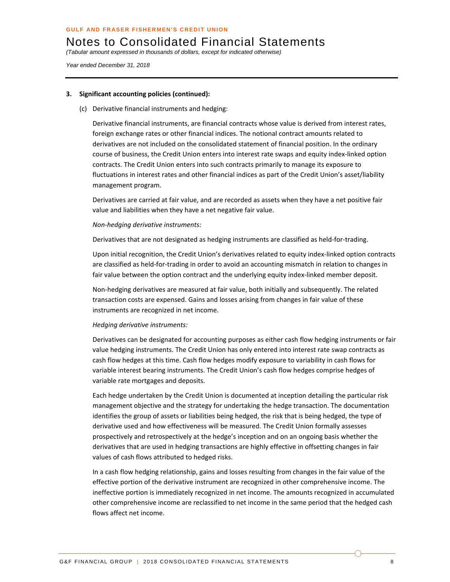*(Tabular amount expressed in thousands of dollars, except for indicated otherwise)* 

*Year ended December 31, 2018* 

#### **3. Significant accounting policies (continued):**

(c) Derivative financial instruments and hedging:

Derivative financial instruments, are financial contracts whose value is derived from interest rates, foreign exchange rates or other financial indices. The notional contract amounts related to derivatives are not included on the consolidated statement of financial position. In the ordinary course of business, the Credit Union enters into interest rate swaps and equity index-linked option contracts. The Credit Union enters into such contracts primarily to manage its exposure to fluctuations in interest rates and other financial indices as part of the Credit Union's asset/liability management program.

Derivatives are carried at fair value, and are recorded as assets when they have a net positive fair value and liabilities when they have a net negative fair value.

#### *Non‐hedging derivative instruments:*

Derivatives that are not designated as hedging instruments are classified as held-for-trading.

Upon initial recognition, the Credit Union's derivatives related to equity index‐linked option contracts are classified as held-for-trading in order to avoid an accounting mismatch in relation to changes in fair value between the option contract and the underlying equity index-linked member deposit.

Non‐hedging derivatives are measured at fair value, both initially and subsequently. The related transaction costs are expensed. Gains and losses arising from changes in fair value of these instruments are recognized in net income.

#### *Hedging derivative instruments:*

Derivatives can be designated for accounting purposes as either cash flow hedging instruments or fair value hedging instruments. The Credit Union has only entered into interest rate swap contracts as cash flow hedges at this time. Cash flow hedges modify exposure to variability in cash flows for variable interest bearing instruments. The Credit Union's cash flow hedges comprise hedges of variable rate mortgages and deposits.

Each hedge undertaken by the Credit Union is documented at inception detailing the particular risk management objective and the strategy for undertaking the hedge transaction. The documentation identifies the group of assets or liabilities being hedged, the risk that is being hedged, the type of derivative used and how effectiveness will be measured. The Credit Union formally assesses prospectively and retrospectively at the hedge's inception and on an ongoing basis whether the derivatives that are used in hedging transactions are highly effective in offsetting changes in fair values of cash flows attributed to hedged risks.

In a cash flow hedging relationship, gains and losses resulting from changes in the fair value of the effective portion of the derivative instrument are recognized in other comprehensive income. The ineffective portion is immediately recognized in net income. The amounts recognized in accumulated other comprehensive income are reclassified to net income in the same period that the hedged cash flows affect net income.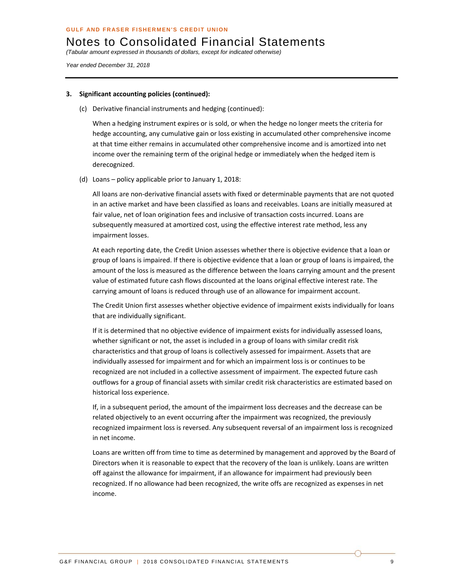*(Tabular amount expressed in thousands of dollars, except for indicated otherwise)* 

*Year ended December 31, 2018* 

#### **3. Significant accounting policies (continued):**

(c) Derivative financial instruments and hedging (continued):

When a hedging instrument expires or is sold, or when the hedge no longer meets the criteria for hedge accounting, any cumulative gain or loss existing in accumulated other comprehensive income at that time either remains in accumulated other comprehensive income and is amortized into net income over the remaining term of the original hedge or immediately when the hedged item is derecognized.

(d) Loans – policy applicable prior to January 1, 2018:

All loans are non‐derivative financial assets with fixed or determinable payments that are not quoted in an active market and have been classified as loans and receivables. Loans are initially measured at fair value, net of loan origination fees and inclusive of transaction costs incurred. Loans are subsequently measured at amortized cost, using the effective interest rate method, less any impairment losses.

At each reporting date, the Credit Union assesses whether there is objective evidence that a loan or group of loans is impaired. If there is objective evidence that a loan or group of loans is impaired, the amount of the loss is measured as the difference between the loans carrying amount and the present value of estimated future cash flows discounted at the loans original effective interest rate. The carrying amount of loans is reduced through use of an allowance for impairment account.

The Credit Union first assesses whether objective evidence of impairment exists individually for loans that are individually significant.

If it is determined that no objective evidence of impairment exists for individually assessed loans, whether significant or not, the asset is included in a group of loans with similar credit risk characteristics and that group of loans is collectively assessed for impairment. Assets that are individually assessed for impairment and for which an impairment loss is or continues to be recognized are not included in a collective assessment of impairment. The expected future cash outflows for a group of financial assets with similar credit risk characteristics are estimated based on historical loss experience.

If, in a subsequent period, the amount of the impairment loss decreases and the decrease can be related objectively to an event occurring after the impairment was recognized, the previously recognized impairment loss is reversed. Any subsequent reversal of an impairment loss is recognized in net income.

Loans are written off from time to time as determined by management and approved by the Board of Directors when it is reasonable to expect that the recovery of the loan is unlikely. Loans are written off against the allowance for impairment, if an allowance for impairment had previously been recognized. If no allowance had been recognized, the write offs are recognized as expenses in net income.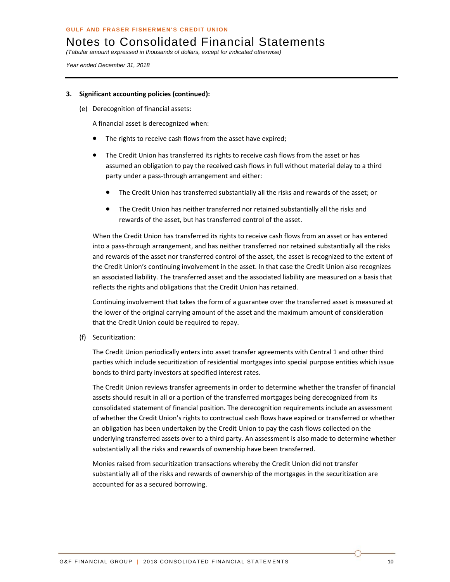*(Tabular amount expressed in thousands of dollars, except for indicated otherwise)* 

*Year ended December 31, 2018* 

#### **3. Significant accounting policies (continued):**

(e) Derecognition of financial assets:

A financial asset is derecognized when:

- The rights to receive cash flows from the asset have expired;
- The Credit Union has transferred its rights to receive cash flows from the asset or has assumed an obligation to pay the received cash flows in full without material delay to a third party under a pass‐through arrangement and either:
	- The Credit Union has transferred substantially all the risks and rewards of the asset; or
	- The Credit Union has neither transferred nor retained substantially all the risks and rewards of the asset, but has transferred control of the asset.

When the Credit Union has transferred its rights to receive cash flows from an asset or has entered into a pass‐through arrangement, and has neither transferred nor retained substantially all the risks and rewards of the asset nor transferred control of the asset, the asset is recognized to the extent of the Credit Union's continuing involvement in the asset. In that case the Credit Union also recognizes an associated liability. The transferred asset and the associated liability are measured on a basis that reflects the rights and obligations that the Credit Union has retained.

Continuing involvement that takes the form of a guarantee over the transferred asset is measured at the lower of the original carrying amount of the asset and the maximum amount of consideration that the Credit Union could be required to repay.

(f) Securitization:

The Credit Union periodically enters into asset transfer agreements with Central 1 and other third parties which include securitization of residential mortgages into special purpose entities which issue bonds to third party investors at specified interest rates.

The Credit Union reviews transfer agreements in order to determine whether the transfer of financial assets should result in all or a portion of the transferred mortgages being derecognized from its consolidated statement of financial position. The derecognition requirements include an assessment of whether the Credit Union's rights to contractual cash flows have expired or transferred or whether an obligation has been undertaken by the Credit Union to pay the cash flows collected on the underlying transferred assets over to a third party. An assessment is also made to determine whether substantially all the risks and rewards of ownership have been transferred.

Monies raised from securitization transactions whereby the Credit Union did not transfer substantially all of the risks and rewards of ownership of the mortgages in the securitization are accounted for as a secured borrowing.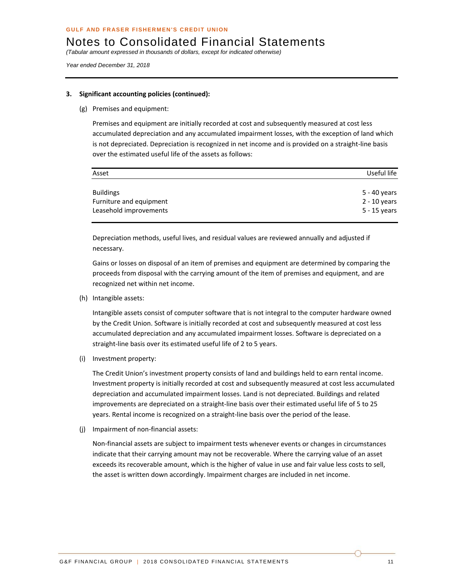*(Tabular amount expressed in thousands of dollars, except for indicated otherwise)* 

*Year ended December 31, 2018* 

#### **3. Significant accounting policies (continued):**

(g) Premises and equipment:

Premises and equipment are initially recorded at cost and subsequently measured at cost less accumulated depreciation and any accumulated impairment losses, with the exception of land which is not depreciated. Depreciation is recognized in net income and is provided on a straight‐line basis over the estimated useful life of the assets as follows:

| Asset                   | Useful life    |
|-------------------------|----------------|
| <b>Buildings</b>        | 5 - 40 years   |
| Furniture and equipment | $2 - 10$ years |
| Leasehold improvements  | 5 - 15 years   |

Depreciation methods, useful lives, and residual values are reviewed annually and adjusted if necessary.

Gains or losses on disposal of an item of premises and equipment are determined by comparing the proceeds from disposal with the carrying amount of the item of premises and equipment, and are recognized net within net income.

(h) Intangible assets:

Intangible assets consist of computer software that is not integral to the computer hardware owned by the Credit Union. Software is initially recorded at cost and subsequently measured at cost less accumulated depreciation and any accumulated impairment losses. Software is depreciated on a straight-line basis over its estimated useful life of 2 to 5 years.

(i) Investment property:

The Credit Union's investment property consists of land and buildings held to earn rental income. Investment property is initially recorded at cost and subsequently measured at cost less accumulated depreciation and accumulated impairment losses. Land is not depreciated. Buildings and related improvements are depreciated on a straight‐line basis over their estimated useful life of 5 to 25 years. Rental income is recognized on a straight‐line basis over the period of the lease.

(j) Impairment of non‐financial assets:

Non‐financial assets are subject to impairment tests whenever events or changes in circumstances indicate that their carrying amount may not be recoverable. Where the carrying value of an asset exceeds its recoverable amount, which is the higher of value in use and fair value less costs to sell, the asset is written down accordingly. Impairment charges are included in net income.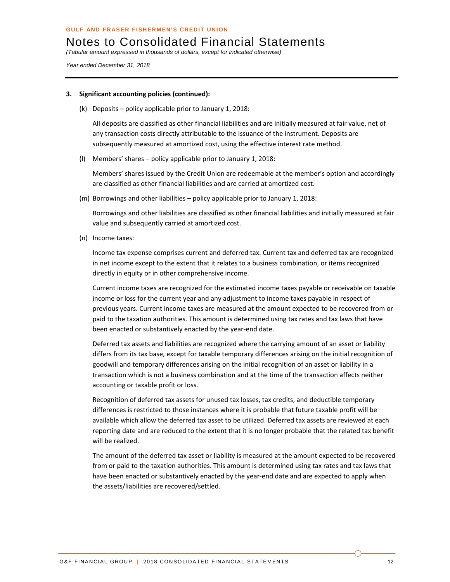*(Tabular amount expressed in thousands of dollars, except for indicated otherwise)* 

*Year ended December 31, 2018* 

#### **3. Significant accounting policies (continued):**

(k) Deposits – policy applicable prior to January 1, 2018:

All deposits are classified as other financial liabilities and are initially measured at fair value, net of any transaction costs directly attributable to the issuance of the instrument. Deposits are subsequently measured at amortized cost, using the effective interest rate method.

(l) Members' shares – policy applicable prior to January 1, 2018:

Members' shares issued by the Credit Union are redeemable at the member's option and accordingly are classified as other financial liabilities and are carried at amortized cost.

(m) Borrowings and other liabilities – policy applicable prior to January 1, 2018:

Borrowings and other liabilities are classified as other financial liabilities and initially measured at fair value and subsequently carried at amortized cost.

(n) Income taxes:

Income tax expense comprises current and deferred tax. Current tax and deferred tax are recognized in net income except to the extent that it relates to a business combination, or items recognized directly in equity or in other comprehensive income.

Current income taxes are recognized for the estimated income taxes payable or receivable on taxable income or loss for the current year and any adjustment to income taxes payable in respect of previous years. Current income taxes are measured at the amount expected to be recovered from or paid to the taxation authorities. This amount is determined using tax rates and tax laws that have been enacted or substantively enacted by the year‐end date.

Deferred tax assets and liabilities are recognized where the carrying amount of an asset or liability differs from its tax base, except for taxable temporary differences arising on the initial recognition of goodwill and temporary differences arising on the initial recognition of an asset or liability in a transaction which is not a business combination and at the time of the transaction affects neither accounting or taxable profit or loss.

Recognition of deferred tax assets for unused tax losses, tax credits, and deductible temporary differences is restricted to those instances where it is probable that future taxable profit will be available which allow the deferred tax asset to be utilized. Deferred tax assets are reviewed at each reporting date and are reduced to the extent that it is no longer probable that the related tax benefit will be realized.

The amount of the deferred tax asset or liability is measured at the amount expected to be recovered from or paid to the taxation authorities. This amount is determined using tax rates and tax laws that have been enacted or substantively enacted by the year-end date and are expected to apply when the assets/liabilities are recovered/settled.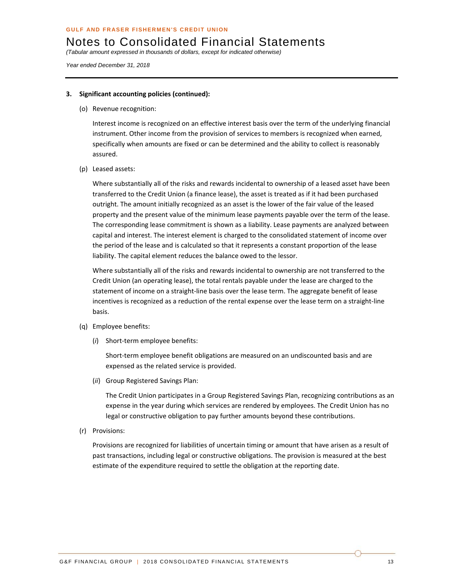*(Tabular amount expressed in thousands of dollars, except for indicated otherwise)* 

*Year ended December 31, 2018* 

#### **3. Significant accounting policies (continued):**

(o) Revenue recognition:

Interest income is recognized on an effective interest basis over the term of the underlying financial instrument. Other income from the provision of services to members is recognized when earned, specifically when amounts are fixed or can be determined and the ability to collect is reasonably assured.

(p) Leased assets:

Where substantially all of the risks and rewards incidental to ownership of a leased asset have been transferred to the Credit Union (a finance lease), the asset is treated as if it had been purchased outright. The amount initially recognized as an asset is the lower of the fair value of the leased property and the present value of the minimum lease payments payable over the term of the lease. The corresponding lease commitment is shown as a liability. Lease payments are analyzed between capital and interest. The interest element is charged to the consolidated statement of income over the period of the lease and is calculated so that it represents a constant proportion of the lease liability. The capital element reduces the balance owed to the lessor.

Where substantially all of the risks and rewards incidental to ownership are not transferred to the Credit Union (an operating lease), the total rentals payable under the lease are charged to the statement of income on a straight‐line basis over the lease term. The aggregate benefit of lease incentives is recognized as a reduction of the rental expense over the lease term on a straight-line basis.

- (q) Employee benefits:
	- (*i*) Short‐term employee benefits:

Short-term employee benefit obligations are measured on an undiscounted basis and are expensed as the related service is provided.

(*ii*) Group Registered Savings Plan:

The Credit Union participates in a Group Registered Savings Plan, recognizing contributions as an expense in the year during which services are rendered by employees. The Credit Union has no legal or constructive obligation to pay further amounts beyond these contributions.

(r) Provisions:

Provisions are recognized for liabilities of uncertain timing or amount that have arisen as a result of past transactions, including legal or constructive obligations. The provision is measured at the best estimate of the expenditure required to settle the obligation at the reporting date.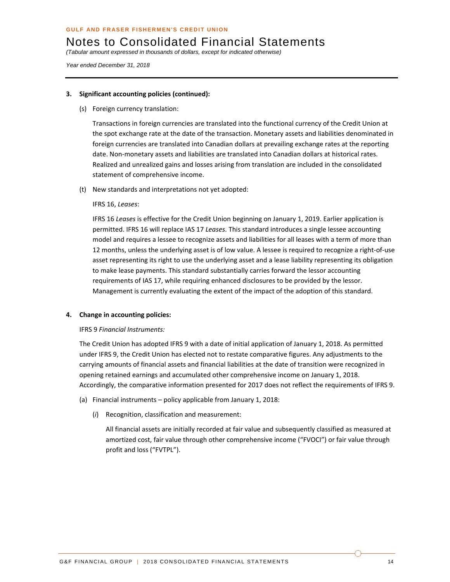*(Tabular amount expressed in thousands of dollars, except for indicated otherwise)* 

*Year ended December 31, 2018* 

#### **3. Significant accounting policies (continued):**

(s) Foreign currency translation:

Transactions in foreign currencies are translated into the functional currency of the Credit Union at the spot exchange rate at the date of the transaction. Monetary assets and liabilities denominated in foreign currencies are translated into Canadian dollars at prevailing exchange rates at the reporting date. Non-monetary assets and liabilities are translated into Canadian dollars at historical rates. Realized and unrealized gains and losses arising from translation are included in the consolidated statement of comprehensive income.

(t) New standards and interpretations not yet adopted:

#### IFRS 16, *Leases*:

IFRS 16 *Leases* is effective for the Credit Union beginning on January 1, 2019. Earlier application is permitted. IFRS 16 will replace IAS 17 *Leases*. This standard introduces a single lessee accounting model and requires a lessee to recognize assets and liabilities for all leases with a term of more than 12 months, unless the underlying asset is of low value. A lessee is required to recognize a right‐of‐use asset representing its right to use the underlying asset and a lease liability representing its obligation to make lease payments. This standard substantially carries forward the lessor accounting requirements of IAS 17, while requiring enhanced disclosures to be provided by the lessor. Management is currently evaluating the extent of the impact of the adoption of this standard.

#### **4. Change in accounting policies:**

#### IFRS 9 *Financial Instruments:*

The Credit Union has adopted IFRS 9 with a date of initial application of January 1, 2018. As permitted under IFRS 9, the Credit Union has elected not to restate comparative figures. Any adjustments to the carrying amounts of financial assets and financial liabilities at the date of transition were recognized in opening retained earnings and accumulated other comprehensive income on January 1, 2018. Accordingly, the comparative information presented for 2017 does not reflect the requirements of IFRS 9.

- (a) Financial instruments policy applicable from January 1, 2018:
	- (*i*) Recognition, classification and measurement:

All financial assets are initially recorded at fair value and subsequently classified as measured at amortized cost, fair value through other comprehensive income ("FVOCI") or fair value through profit and loss ("FVTPL").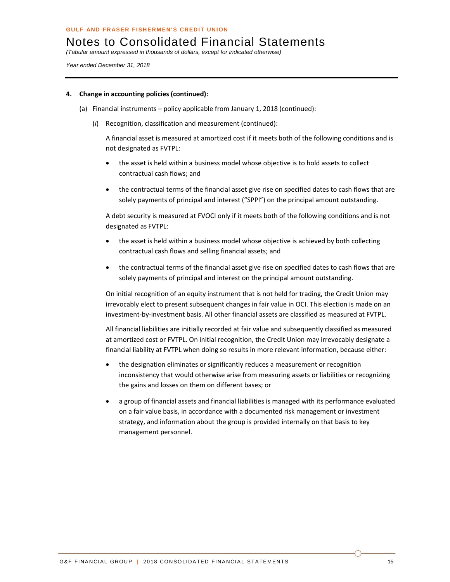*(Tabular amount expressed in thousands of dollars, except for indicated otherwise)* 

*Year ended December 31, 2018* 

#### **4. Change in accounting policies (continued):**

- (a) Financial instruments policy applicable from January 1, 2018 (continued):
	- (*i*) Recognition, classification and measurement (continued):

A financial asset is measured at amortized cost if it meets both of the following conditions and is not designated as FVTPL:

- the asset is held within a business model whose objective is to hold assets to collect contractual cash flows; and
- the contractual terms of the financial asset give rise on specified dates to cash flows that are solely payments of principal and interest ("SPPI") on the principal amount outstanding.

A debt security is measured at FVOCI only if it meets both of the following conditions and is not designated as FVTPL:

- the asset is held within a business model whose objective is achieved by both collecting contractual cash flows and selling financial assets; and
- the contractual terms of the financial asset give rise on specified dates to cash flows that are solely payments of principal and interest on the principal amount outstanding.

On initial recognition of an equity instrument that is not held for trading, the Credit Union may irrevocably elect to present subsequent changes in fair value in OCI. This election is made on an investment-by-investment basis. All other financial assets are classified as measured at FVTPL.

All financial liabilities are initially recorded at fair value and subsequently classified as measured at amortized cost or FVTPL. On initial recognition, the Credit Union may irrevocably designate a financial liability at FVTPL when doing so results in more relevant information, because either:

- the designation eliminates or significantly reduces a measurement or recognition inconsistency that would otherwise arise from measuring assets or liabilities or recognizing the gains and losses on them on different bases; or
- a group of financial assets and financial liabilities is managed with its performance evaluated on a fair value basis, in accordance with a documented risk management or investment strategy, and information about the group is provided internally on that basis to key management personnel.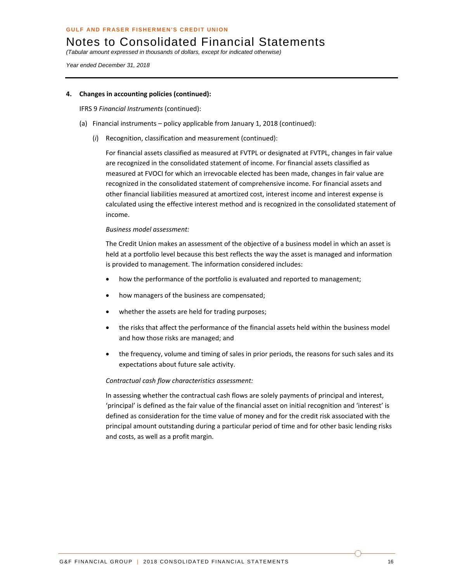*(Tabular amount expressed in thousands of dollars, except for indicated otherwise)* 

*Year ended December 31, 2018* 

#### **4. Changes in accounting policies (continued):**

IFRS 9 *Financial Instruments* (continued):

- (a) Financial instruments policy applicable from January 1, 2018 (continued):
	- (*i*) Recognition, classification and measurement (continued):

For financial assets classified as measured at FVTPL or designated at FVTPL, changes in fair value are recognized in the consolidated statement of income. For financial assets classified as measured at FVOCI for which an irrevocable elected has been made, changes in fair value are recognized in the consolidated statement of comprehensive income. For financial assets and other financial liabilities measured at amortized cost, interest income and interest expense is calculated using the effective interest method and is recognized in the consolidated statement of income.

#### *Business model assessment:*

The Credit Union makes an assessment of the objective of a business model in which an asset is held at a portfolio level because this best reflects the way the asset is managed and information is provided to management. The information considered includes:

- how the performance of the portfolio is evaluated and reported to management;
- how managers of the business are compensated;
- whether the assets are held for trading purposes;
- the risks that affect the performance of the financial assets held within the business model and how those risks are managed; and
- the frequency, volume and timing of sales in prior periods, the reasons for such sales and its expectations about future sale activity.

#### *Contractual cash flow characteristics assessment:*

In assessing whether the contractual cash flows are solely payments of principal and interest, 'principal' is defined as the fair value of the financial asset on initial recognition and 'interest' is defined as consideration for the time value of money and for the credit risk associated with the principal amount outstanding during a particular period of time and for other basic lending risks and costs, as well as a profit margin.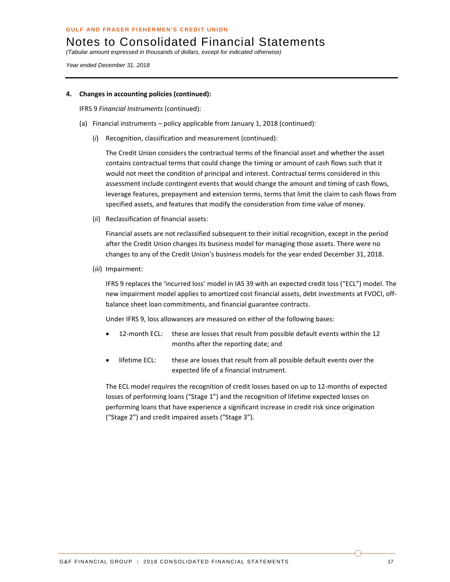*(Tabular amount expressed in thousands of dollars, except for indicated otherwise)* 

*Year ended December 31, 2018* 

#### **4. Changes in accounting policies (continued):**

IFRS 9 *Financial Instruments* (continued):

- (a) Financial instruments policy applicable from January 1, 2018 (continued):
	- (*i*) Recognition, classification and measurement (continued):

The Credit Union considers the contractual terms of the financial asset and whether the asset contains contractual terms that could change the timing or amount of cash flows such that it would not meet the condition of principal and interest. Contractual terms considered in this assessment include contingent events that would change the amount and timing of cash flows, leverage features, prepayment and extension terms, terms that limit the claim to cash flows from specified assets, and features that modify the consideration from time value of money.

(*ii*) Reclassification of financial assets:

Financial assets are not reclassified subsequent to their initial recognition, except in the period after the Credit Union changes its business model for managing those assets. There were no changes to any of the Credit Union's business models for the year ended December 31, 2018.

(*iii*) Impairment:

IFRS 9 replaces the 'incurred loss' model in IAS 39 with an expected credit loss ("ECL") model. The new impairment model applies to amortized cost financial assets, debt investments at FVOCI, off‐ balance sheet loan commitments, and financial guarantee contracts.

Under IFRS 9, loss allowances are measured on either of the following bases:

- 12-month ECL: these are losses that result from possible default events within the 12 months after the reporting date; and
- lifetime ECL: these are losses that result from all possible default events over the expected life of a financial instrument.

The ECL model requires the recognition of credit losses based on up to 12‐months of expected losses of performing loans ("Stage 1") and the recognition of lifetime expected losses on performing loans that have experience a significant increase in credit risk since origination ("Stage 2") and credit impaired assets ("Stage 3").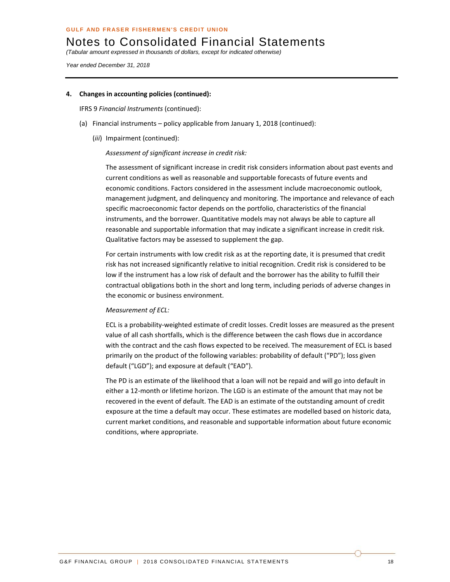*(Tabular amount expressed in thousands of dollars, except for indicated otherwise)* 

*Year ended December 31, 2018* 

#### **4. Changes in accounting policies (continued):**

IFRS 9 *Financial Instruments* (continued):

- (a) Financial instruments policy applicable from January 1, 2018 (continued):
	- (*iii*) Impairment (continued):

#### *Assessment of significant increase in credit risk:*

The assessment of significant increase in credit risk considers information about past events and current conditions as well as reasonable and supportable forecasts of future events and economic conditions. Factors considered in the assessment include macroeconomic outlook, management judgment, and delinquency and monitoring. The importance and relevance of each specific macroeconomic factor depends on the portfolio, characteristics of the financial instruments, and the borrower. Quantitative models may not always be able to capture all reasonable and supportable information that may indicate a significant increase in credit risk. Qualitative factors may be assessed to supplement the gap.

For certain instruments with low credit risk as at the reporting date, it is presumed that credit risk has not increased significantly relative to initial recognition. Credit risk is considered to be low if the instrument has a low risk of default and the borrower has the ability to fulfill their contractual obligations both in the short and long term, including periods of adverse changes in the economic or business environment.

#### *Measurement of ECL:*

ECL is a probability‐weighted estimate of credit losses. Credit losses are measured as the present value of all cash shortfalls, which is the difference between the cash flows due in accordance with the contract and the cash flows expected to be received. The measurement of ECL is based primarily on the product of the following variables: probability of default ("PD"); loss given default ("LGD"); and exposure at default ("EAD").

The PD is an estimate of the likelihood that a loan will not be repaid and will go into default in either a 12‐month or lifetime horizon. The LGD is an estimate of the amount that may not be recovered in the event of default. The EAD is an estimate of the outstanding amount of credit exposure at the time a default may occur. These estimates are modelled based on historic data, current market conditions, and reasonable and supportable information about future economic conditions, where appropriate.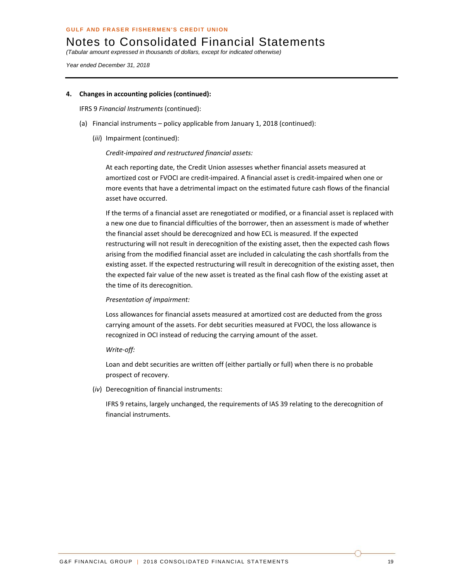*(Tabular amount expressed in thousands of dollars, except for indicated otherwise)* 

*Year ended December 31, 2018* 

#### **4. Changes in accounting policies (continued):**

IFRS 9 *Financial Instruments* (continued):

- (a) Financial instruments policy applicable from January 1, 2018 (continued):
	- (*iii*) Impairment (continued):

#### *Credit‐impaired and restructured financial assets:*

At each reporting date, the Credit Union assesses whether financial assets measured at amortized cost or FVOCI are credit‐impaired. A financial asset is credit‐impaired when one or more events that have a detrimental impact on the estimated future cash flows of the financial asset have occurred.

If the terms of a financial asset are renegotiated or modified, or a financial asset is replaced with a new one due to financial difficulties of the borrower, then an assessment is made of whether the financial asset should be derecognized and how ECL is measured. If the expected restructuring will not result in derecognition of the existing asset, then the expected cash flows arising from the modified financial asset are included in calculating the cash shortfalls from the existing asset. If the expected restructuring will result in derecognition of the existing asset, then the expected fair value of the new asset is treated as the final cash flow of the existing asset at the time of its derecognition.

#### *Presentation of impairment:*

Loss allowances for financial assets measured at amortized cost are deducted from the gross carrying amount of the assets. For debt securities measured at FVOCI, the loss allowance is recognized in OCI instead of reducing the carrying amount of the asset.

*Write‐off:*

Loan and debt securities are written off (either partially or full) when there is no probable prospect of recovery.

(*iv*) Derecognition of financial instruments:

IFRS 9 retains, largely unchanged, the requirements of IAS 39 relating to the derecognition of financial instruments.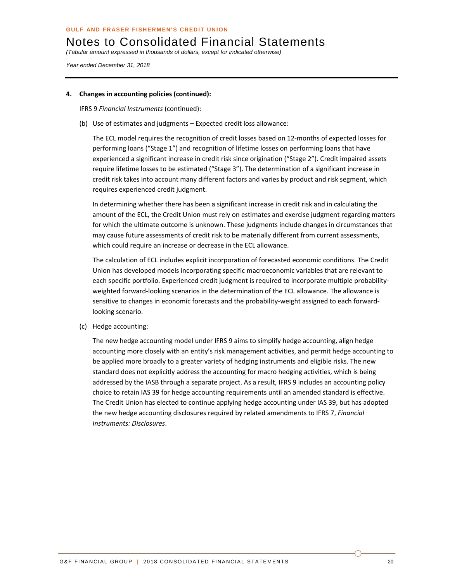*(Tabular amount expressed in thousands of dollars, except for indicated otherwise)* 

*Year ended December 31, 2018* 

#### **4. Changes in accounting policies (continued):**

IFRS 9 *Financial Instruments* (continued):

(b) Use of estimates and judgments – Expected credit loss allowance:

The ECL model requires the recognition of credit losses based on 12‐months of expected losses for performing loans ("Stage 1") and recognition of lifetime losses on performing loans that have experienced a significant increase in credit risk since origination ("Stage 2"). Credit impaired assets require lifetime losses to be estimated ("Stage 3"). The determination of a significant increase in credit risk takes into account many different factors and varies by product and risk segment, which requires experienced credit judgment.

In determining whether there has been a significant increase in credit risk and in calculating the amount of the ECL, the Credit Union must rely on estimates and exercise judgment regarding matters for which the ultimate outcome is unknown. These judgments include changes in circumstances that may cause future assessments of credit risk to be materially different from current assessments, which could require an increase or decrease in the ECL allowance.

The calculation of ECL includes explicit incorporation of forecasted economic conditions. The Credit Union has developed models incorporating specific macroeconomic variables that are relevant to each specific portfolio. Experienced credit judgment is required to incorporate multiple probabilityweighted forward-looking scenarios in the determination of the ECL allowance. The allowance is sensitive to changes in economic forecasts and the probability-weight assigned to each forwardlooking scenario.

(c) Hedge accounting:

The new hedge accounting model under IFRS 9 aims to simplify hedge accounting, align hedge accounting more closely with an entity's risk management activities, and permit hedge accounting to be applied more broadly to a greater variety of hedging instruments and eligible risks. The new standard does not explicitly address the accounting for macro hedging activities, which is being addressed by the IASB through a separate project. As a result, IFRS 9 includes an accounting policy choice to retain IAS 39 for hedge accounting requirements until an amended standard is effective. The Credit Union has elected to continue applying hedge accounting under IAS 39, but has adopted the new hedge accounting disclosures required by related amendments to IFRS 7, *Financial Instruments: Disclosures*.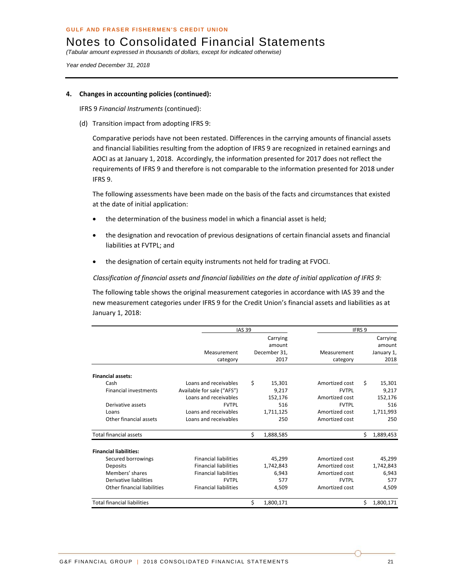*(Tabular amount expressed in thousands of dollars, except for indicated otherwise)* 

*Year ended December 31, 2018* 

#### **4. Changes in accounting policies (continued):**

IFRS 9 *Financial Instruments* (continued):

(d) Transition impact from adopting IFRS 9:

Comparative periods have not been restated. Differences in the carrying amounts of financial assets and financial liabilities resulting from the adoption of IFRS 9 are recognized in retained earnings and AOCI as at January 1, 2018. Accordingly, the information presented for 2017 does not reflect the requirements of IFRS 9 and therefore is not comparable to the information presented for 2018 under IFRS 9.

The following assessments have been made on the basis of the facts and circumstances that existed at the date of initial application:

- the determination of the business model in which a financial asset is held;
- the designation and revocation of previous designations of certain financial assets and financial liabilities at FVTPL; and
- the designation of certain equity instruments not held for trading at FVOCI.

*Classification of financial assets and financial liabilities on the date of initial application of IFRS 9:*

The following table shows the original measurement categories in accordance with IAS 39 and the new measurement categories under IFRS 9 for the Credit Union's financial assets and liabilities as at January 1, 2018:

|                                    |                              | <b>IAS 39</b> |              |                | IFRS 9 |            |
|------------------------------------|------------------------------|---------------|--------------|----------------|--------|------------|
|                                    |                              |               | Carrying     |                |        | Carrying   |
|                                    |                              |               | amount       |                |        | amount     |
|                                    | Measurement                  |               | December 31, | Measurement    |        | January 1, |
|                                    | category                     |               | 2017         | category       |        | 2018       |
| <b>Financial assets:</b>           |                              |               |              |                |        |            |
| Cash                               | Loans and receivables        | \$            | 15,301       | Amortized cost | Ś.     | 15,301     |
| <b>Financial investments</b>       | Available for sale ("AFS")   |               | 9,217        | <b>FVTPL</b>   |        | 9,217      |
|                                    | Loans and receivables        |               | 152,176      | Amortized cost |        | 152,176    |
| Derivative assets                  | <b>FVTPL</b>                 |               | 516          | <b>FVTPL</b>   |        | 516        |
| Loans                              | Loans and receivables        |               | 1,711,125    | Amortized cost |        | 1,711,993  |
| Other financial assets             | Loans and receivables        |               | 250          | Amortized cost |        | 250        |
| Total financial assets             |                              | \$            | 1,888,585    |                | Ŝ.     | 1,889,453  |
| <b>Financial liabilities:</b>      |                              |               |              |                |        |            |
| Secured borrowings                 | <b>Financial liabilities</b> |               | 45,299       | Amortized cost |        | 45,299     |
| Deposits                           | <b>Financial liabilities</b> |               | 1,742,843    | Amortized cost |        | 1,742,843  |
| Members' shares                    | <b>Financial liabilities</b> |               | 6,943        | Amortized cost |        | 6,943      |
| Derivative liabilities             | <b>FVTPL</b>                 |               | 577          | <b>FVTPL</b>   |        | 577        |
| <b>Other financial liabilities</b> | <b>Financial liabilities</b> |               | 4,509        | Amortized cost |        | 4,509      |
| <b>Total financial liabilities</b> |                              | \$            | 1,800,171    |                | Ś.     | 1,800,171  |

G&F FINANCIAL GROUP | 2018 CONSOLIDATED FINANCIAL STATEMENTS 21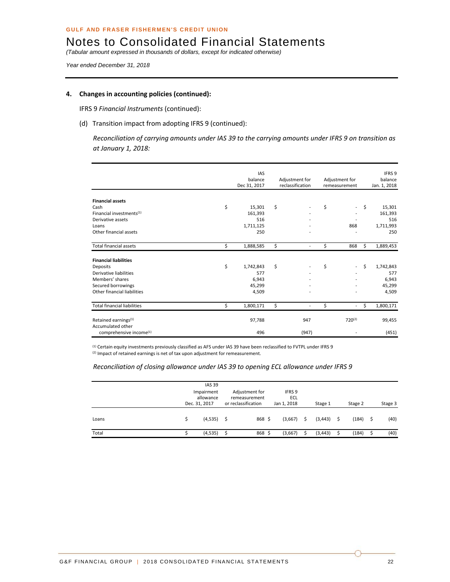*(Tabular amount expressed in thousands of dollars, except for indicated otherwise)* 

*Year ended December 31, 2018* 

#### **4. Changes in accounting policies (continued):**

IFRS 9 *Financial Instruments* (continued):

(d) Transition impact from adopting IFRS 9 (continued):

*Reconciliation of carrying amounts under IAS 39 to the carrying amounts under IFRS 9 on transition as at January 1, 2018:*

|                                      | <b>IAS</b><br>balance<br>Dec 31, 2017 | Adjustment for<br>reclassification | Adjustment for<br>remeasurement | IFRS 9<br>balance<br>Jan. 1, 2018 |
|--------------------------------------|---------------------------------------|------------------------------------|---------------------------------|-----------------------------------|
| <b>Financial assets</b>              |                                       |                                    |                                 |                                   |
| Cash                                 | \$<br>15,301                          | \$                                 | \$<br>$\overline{\phantom{a}}$  | \$<br>15,301                      |
| Financial investments <sup>(1)</sup> | 161,393                               |                                    |                                 | 161,393                           |
| Derivative assets                    | 516                                   |                                    |                                 |                                   |
| Loans                                | 1,711,125                             |                                    | 868                             | 1,711,993                         |
| Other financial assets               | 250                                   |                                    |                                 |                                   |
| <b>Total financial assets</b>        | \$<br>1,888,585                       | \$<br>$\overline{a}$               | \$<br>868                       | \$<br>1,889,453                   |
| <b>Financial liabilities</b>         |                                       |                                    |                                 |                                   |
| Deposits                             | \$<br>1,742,843                       | \$<br>$\overline{\phantom{a}}$     | \$<br>$\overline{\phantom{a}}$  | \$<br>1,742,843                   |
| Derivative liabilities               | 577                                   |                                    |                                 |                                   |
| Members' shares                      | 6,943                                 |                                    |                                 | 6,943                             |
| Secured borrowings                   | 45,299                                |                                    |                                 | 45,299                            |
| Other financial liabilities          | 4,509                                 | $\overline{a}$                     |                                 | 4,509                             |
| <b>Total financial liabilities</b>   | \$<br>1,800,171                       | \$<br>$\overline{a}$               | \$<br>$\overline{\phantom{a}}$  | \$<br>1,800,171                   |
| Retained earnings <sup>(1)</sup>     | 97,788                                | 947                                | $720^{(2)}$                     | 99,455                            |
| Accumulated other                    |                                       |                                    |                                 |                                   |
|                                      |                                       |                                    |                                 |                                   |

(1) Certain equity investments previously classified as AFS under IAS 39 have been reclassified to FVTPL under IFRS 9 (2) Impact of retained earnings is net of tax upon adjustment for remeasurement.

#### *Reconciliation of closing allowance under IAS 39 to opening ECL allowance under IFRS 9*

|       | <b>IAS 39</b><br>Impairment<br>allowance<br>Dec. 31, 2017 | Adjustment for<br>remeasurement<br>or reclassification | IFRS 9<br>ECL<br>Jan 1, 2018 |      | Stage 1  |    | Stage 2 |     | Stage 3 |
|-------|-----------------------------------------------------------|--------------------------------------------------------|------------------------------|------|----------|----|---------|-----|---------|
| Loans | $(4,535)$ \$                                              | 868 \$                                                 | (3,667)                      | - \$ | (3, 443) | Ŝ. | (184)   | - S | (40)    |
| Total | (4,535)                                                   | 868 \$                                                 | (3,667)                      |      | (3, 443) |    | (184)   |     | (40)    |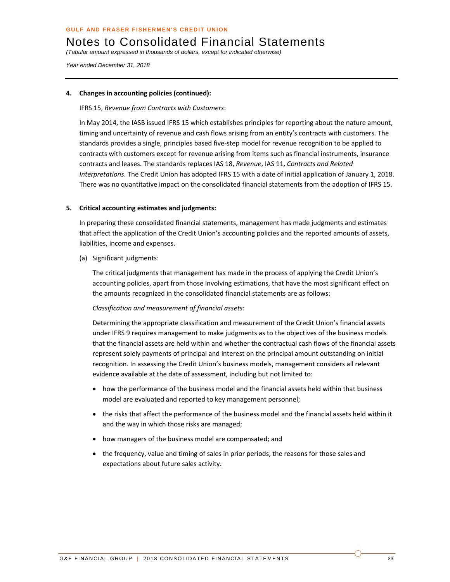*(Tabular amount expressed in thousands of dollars, except for indicated otherwise)* 

*Year ended December 31, 2018* 

#### **4. Changes in accounting policies (continued):**

IFRS 15, *Revenue from Contracts with Customers*:

In May 2014, the IASB issued IFRS 15 which establishes principles for reporting about the nature amount, timing and uncertainty of revenue and cash flows arising from an entity's contracts with customers. The standards provides a single, principles based five‐step model for revenue recognition to be applied to contracts with customers except for revenue arising from items such as financial instruments, insurance contracts and leases. The standards replaces IAS 18, *Revenue*, IAS 11, *Contracts and Related Interpretations*. The Credit Union has adopted IFRS 15 with a date of initial application of January 1, 2018. There was no quantitative impact on the consolidated financial statements from the adoption of IFRS 15.

#### **5. Critical accounting estimates and judgments:**

In preparing these consolidated financial statements, management has made judgments and estimates that affect the application of the Credit Union's accounting policies and the reported amounts of assets, liabilities, income and expenses.

(a) Significant judgments:

The critical judgments that management has made in the process of applying the Credit Union's accounting policies, apart from those involving estimations, that have the most significant effect on the amounts recognized in the consolidated financial statements are as follows:

#### *Classification and measurement of financial assets:*

Determining the appropriate classification and measurement of the Credit Union's financial assets under IFRS 9 requires management to make judgments as to the objectives of the business models that the financial assets are held within and whether the contractual cash flows of the financial assets represent solely payments of principal and interest on the principal amount outstanding on initial recognition. In assessing the Credit Union's business models, management considers all relevant evidence available at the date of assessment, including but not limited to:

- how the performance of the business model and the financial assets held within that business model are evaluated and reported to key management personnel;
- the risks that affect the performance of the business model and the financial assets held within it and the way in which those risks are managed;
- how managers of the business model are compensated; and
- the frequency, value and timing of sales in prior periods, the reasons for those sales and expectations about future sales activity.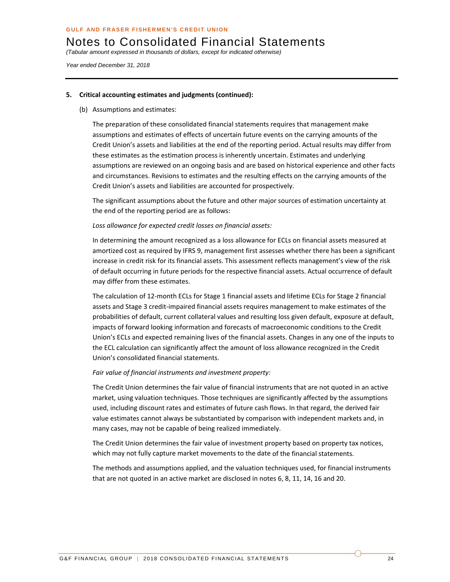*(Tabular amount expressed in thousands of dollars, except for indicated otherwise)* 

*Year ended December 31, 2018* 

#### **5. Critical accounting estimates and judgments (continued):**

(b) Assumptions and estimates:

The preparation of these consolidated financial statements requires that management make assumptions and estimates of effects of uncertain future events on the carrying amounts of the Credit Union's assets and liabilities at the end of the reporting period. Actual results may differ from these estimates as the estimation process is inherently uncertain. Estimates and underlying assumptions are reviewed on an ongoing basis and are based on historical experience and other facts and circumstances. Revisions to estimates and the resulting effects on the carrying amounts of the Credit Union's assets and liabilities are accounted for prospectively.

The significant assumptions about the future and other major sources of estimation uncertainty at the end of the reporting period are as follows:

#### *Loss allowance for expected credit losses on financial assets:*

In determining the amount recognized as a loss allowance for ECLs on financial assets measured at amortized cost as required by IFRS 9, management first assesses whether there has been a significant increase in credit risk for its financial assets. This assessment reflects management's view of the risk of default occurring in future periods for the respective financial assets. Actual occurrence of default may differ from these estimates.

The calculation of 12‐month ECLs for Stage 1 financial assets and lifetime ECLs for Stage 2 financial assets and Stage 3 credit‐impaired financial assets requires management to make estimates of the probabilities of default, current collateral values and resulting loss given default, exposure at default, impacts of forward looking information and forecasts of macroeconomic conditions to the Credit Union's ECLs and expected remaining lives of the financial assets. Changes in any one of the inputs to the ECL calculation can significantly affect the amount of loss allowance recognized in the Credit Union's consolidated financial statements.

#### *Fair value of financial instruments and investment property:*

The Credit Union determines the fair value of financial instruments that are not quoted in an active market, using valuation techniques. Those techniques are significantly affected by the assumptions used, including discount rates and estimates of future cash flows. In that regard, the derived fair value estimates cannot always be substantiated by comparison with independent markets and, in many cases, may not be capable of being realized immediately.

The Credit Union determines the fair value of investment property based on property tax notices, which may not fully capture market movements to the date of the financial statements.

The methods and assumptions applied, and the valuation techniques used, for financial instruments that are not quoted in an active market are disclosed in notes 6, 8, 11, 14, 16 and 20.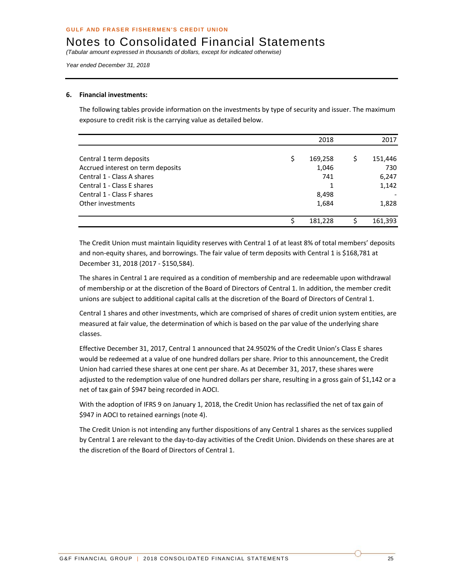*(Tabular amount expressed in thousands of dollars, except for indicated otherwise)* 

*Year ended December 31, 2018* 

#### **6. Financial investments:**

The following tables provide information on the investments by type of security and issuer. The maximum exposure to credit risk is the carrying value as detailed below.

|                                   | 2018          | 2017    |
|-----------------------------------|---------------|---------|
| Central 1 term deposits           | \$<br>169,258 | 151,446 |
| Accrued interest on term deposits | 1,046         | 730     |
| Central 1 - Class A shares        | 741           | 6,247   |
| Central 1 - Class E shares        |               | 1,142   |
| Central 1 - Class F shares        | 8,498         |         |
| Other investments                 | 1,684         | 1,828   |
|                                   | 181,228       | 161,393 |

The Credit Union must maintain liquidity reserves with Central 1 of at least 8% of total members' deposits and non-equity shares, and borrowings. The fair value of term deposits with Central 1 is \$168,781 at December 31, 2018 (2017 ‐ \$150,584).

The shares in Central 1 are required as a condition of membership and are redeemable upon withdrawal of membership or at the discretion of the Board of Directors of Central 1. In addition, the member credit unions are subject to additional capital calls at the discretion of the Board of Directors of Central 1.

Central 1 shares and other investments, which are comprised of shares of credit union system entities, are measured at fair value, the determination of which is based on the par value of the underlying share classes.

Effective December 31, 2017, Central 1 announced that 24.9502% of the Credit Union's Class E shares would be redeemed at a value of one hundred dollars per share. Prior to this announcement, the Credit Union had carried these shares at one cent per share. As at December 31, 2017, these shares were adjusted to the redemption value of one hundred dollars per share, resulting in a gross gain of \$1,142 or a net of tax gain of \$947 being recorded in AOCI.

With the adoption of IFRS 9 on January 1, 2018, the Credit Union has reclassified the net of tax gain of \$947 in AOCI to retained earnings (note 4).

The Credit Union is not intending any further dispositions of any Central 1 shares as the services supplied by Central 1 are relevant to the day‐to‐day activities of the Credit Union. Dividends on these shares are at the discretion of the Board of Directors of Central 1.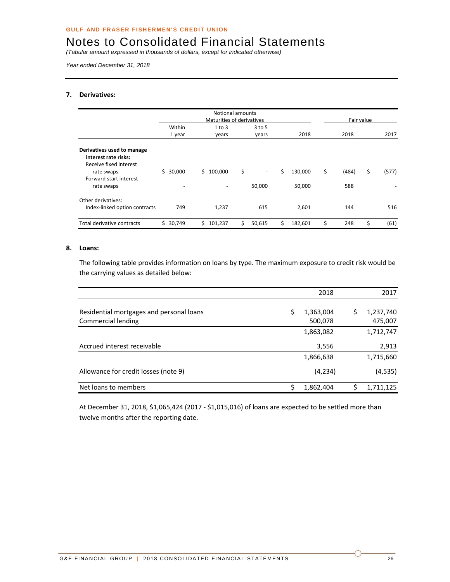*(Tabular amount expressed in thousands of dollars, except for indicated otherwise)* 

*Year ended December 31, 2018* 

#### **7. Derivatives:**

|                                                                                                                                    | Notional amounts<br>Maturities of derivatives |                 |                                          |                         |    |                    | Fair value |
|------------------------------------------------------------------------------------------------------------------------------------|-----------------------------------------------|-----------------|------------------------------------------|-------------------------|----|--------------------|------------|
|                                                                                                                                    | Within<br>1 year                              | 1 to 3<br>years | $3$ to 5<br>years                        | 2018                    |    | 2018               | 2017       |
| Derivatives used to manage<br>interest rate risks:<br>Receive fixed interest<br>rate swaps<br>Forward start interest<br>rate swaps | Ś.<br>30,000                                  | Ś.<br>100,000   | \$<br>$\overline{\phantom{a}}$<br>50,000 | Ś.<br>130,000<br>50,000 | \$ | \$<br>(484)<br>588 | (577)      |
| Other derivatives:<br>Index-linked option contracts                                                                                | 749                                           | 1,237           | 615                                      | 2,601                   |    | 144                | 516        |
| Total derivative contracts                                                                                                         | \$30,749                                      | Ś.<br>101,237   | \$<br>50,615                             | Ś<br>182,601            | \$ | \$<br>248          | (61)       |

#### **8. Loans:**

The following table provides information on loans by type. The maximum exposure to credit risk would be the carrying values as detailed below:

|                                          | 2018            | 2017            |
|------------------------------------------|-----------------|-----------------|
| Residential mortgages and personal loans | \$<br>1,363,004 | \$<br>1,237,740 |
| Commercial lending                       | 500,078         | 475,007         |
|                                          | 1,863,082       | 1,712,747       |
| Accrued interest receivable              | 3,556           | 2,913           |
|                                          | 1,866,638       | 1,715,660       |
| Allowance for credit losses (note 9)     | (4, 234)        | (4, 535)        |
| Net loans to members                     | 1,862,404       | 1,711,125       |

At December 31, 2018, \$1,065,424 (2017 ‐ \$1,015,016) of loans are expected to be settled more than twelve months after the reporting date.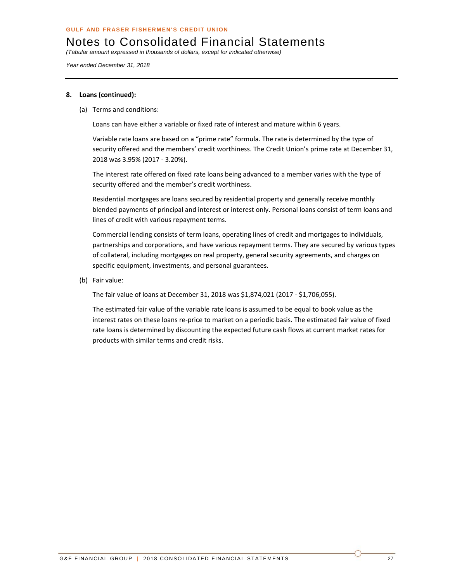*(Tabular amount expressed in thousands of dollars, except for indicated otherwise)* 

*Year ended December 31, 2018* 

#### **8. Loans (continued):**

(a) Terms and conditions:

Loans can have either a variable or fixed rate of interest and mature within 6 years.

Variable rate loans are based on a "prime rate" formula. The rate is determined by the type of security offered and the members' credit worthiness. The Credit Union's prime rate at December 31, 2018 was 3.95% (2017 ‐ 3.20%).

The interest rate offered on fixed rate loans being advanced to a member varies with the type of security offered and the member's credit worthiness.

Residential mortgages are loans secured by residential property and generally receive monthly blended payments of principal and interest or interest only. Personal loans consist of term loans and lines of credit with various repayment terms.

Commercial lending consists of term loans, operating lines of credit and mortgages to individuals, partnerships and corporations, and have various repayment terms. They are secured by various types of collateral, including mortgages on real property, general security agreements, and charges on specific equipment, investments, and personal guarantees.

(b) Fair value:

The fair value of loans at December 31, 2018 was \$1,874,021 (2017 ‐ \$1,706,055).

The estimated fair value of the variable rate loans is assumed to be equal to book value as the interest rates on these loans re‐price to market on a periodic basis. The estimated fair value of fixed rate loans is determined by discounting the expected future cash flows at current market rates for products with similar terms and credit risks.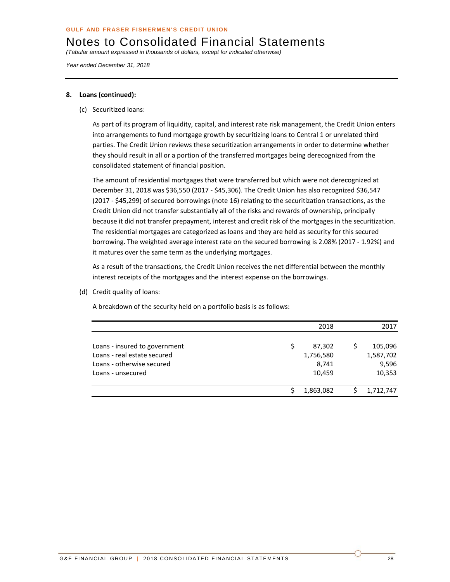*(Tabular amount expressed in thousands of dollars, except for indicated otherwise)* 

*Year ended December 31, 2018* 

#### **8. Loans (continued):**

(c) Securitized loans:

As part of its program of liquidity, capital, and interest rate risk management, the Credit Union enters into arrangements to fund mortgage growth by securitizing loans to Central 1 or unrelated third parties. The Credit Union reviews these securitization arrangements in order to determine whether they should result in all or a portion of the transferred mortgages being derecognized from the consolidated statement of financial position.

The amount of residential mortgages that were transferred but which were not derecognized at December 31, 2018 was \$36,550 (2017 ‐ \$45,306). The Credit Union has also recognized \$36,547 (2017 ‐ \$45,299) of secured borrowings (note 16) relating to the securitization transactions, as the Credit Union did not transfer substantially all of the risks and rewards of ownership, principally because it did not transfer prepayment, interest and credit risk of the mortgages in the securitization. The residential mortgages are categorized as loans and they are held as security for this secured borrowing. The weighted average interest rate on the secured borrowing is 2.08% (2017 ‐ 1.92%) and it matures over the same term as the underlying mortgages.

As a result of the transactions, the Credit Union receives the net differential between the monthly interest receipts of the mortgages and the interest expense on the borrowings.

(d) Credit quality of loans:

A breakdown of the security held on a portfolio basis is as follows:

|                               | 2018      | 2017      |
|-------------------------------|-----------|-----------|
| Loans - insured to government | 87,302    | 105,096   |
| Loans - real estate secured   | 1,756,580 | 1,587,702 |
| Loans - otherwise secured     | 8,741     | 9,596     |
| Loans - unsecured             | 10,459    | 10,353    |
|                               | 1,863,082 | 1,712,747 |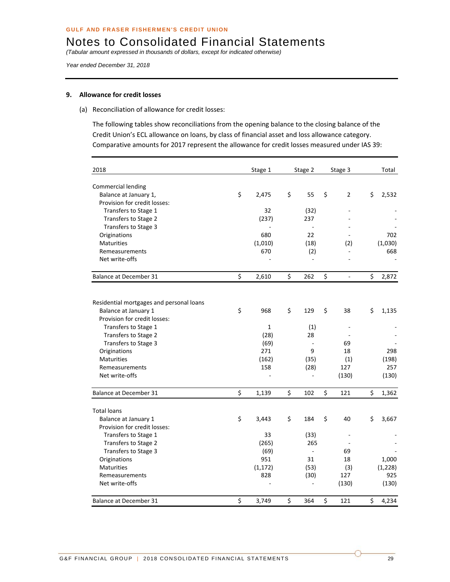*(Tabular amount expressed in thousands of dollars, except for indicated otherwise)* 

*Year ended December 31, 2018* 

#### **9. Allowance for credit losses**

(a) Reconciliation of allowance for credit losses:

The following tables show reconciliations from the opening balance to the closing balance of the Credit Union's ECL allowance on loans, by class of financial asset and loss allowance category. Comparative amounts for 2017 represent the allowance for credit losses measured under IAS 39:

| 2018                                                             |         | Stage 1      | Stage 2        | Stage 3              | Total       |
|------------------------------------------------------------------|---------|--------------|----------------|----------------------|-------------|
| Commercial lending                                               |         |              |                |                      |             |
| Balance at January 1,                                            | $\zeta$ | 2,475        | \$<br>55       | \$<br>$\overline{2}$ | \$<br>2,532 |
| Provision for credit losses:                                     |         |              |                |                      |             |
| Transfers to Stage 1                                             |         | 32           | (32)           |                      |             |
| Transfers to Stage 2                                             |         | (237)        | 237            |                      |             |
| Transfers to Stage 3                                             |         |              |                |                      |             |
| Originations                                                     |         | 680          | 22             |                      | 702         |
| <b>Maturities</b>                                                |         | (1,010)      | (18)           | (2)                  | (1,030)     |
| Remeasurements                                                   |         | 670          | (2)            |                      | 668         |
| Net write-offs                                                   |         |              |                |                      |             |
| <b>Balance at December 31</b>                                    | \$      | 2,610        | \$<br>262      | \$<br>÷,             | \$<br>2,872 |
|                                                                  |         |              |                |                      |             |
| Residential mortgages and personal loans<br>Balance at January 1 | \$      | 968          | \$<br>129      | \$<br>38             | \$<br>1,135 |
| Provision for credit losses:                                     |         |              |                |                      |             |
| Transfers to Stage 1                                             |         | $\mathbf{1}$ | (1)            |                      |             |
| Transfers to Stage 2                                             |         | (28)         | 28             |                      |             |
| Transfers to Stage 3                                             |         | (69)         |                | 69                   |             |
| Originations                                                     |         | 271          | 9              | 18                   | 298         |
| <b>Maturities</b>                                                |         | (162)        | (35)           | (1)                  | (198)       |
| Remeasurements                                                   |         | 158          | (28)           | 127                  | 257         |
| Net write-offs                                                   |         | ÷,           |                | (130)                | (130)       |
| Balance at December 31                                           | \$      | 1,139        | \$<br>102      | \$<br>121            | \$<br>1,362 |
| <b>Total loans</b>                                               |         |              |                |                      |             |
| Balance at January 1                                             | \$      | 3,443        | \$<br>184      | \$<br>40             | \$<br>3,667 |
| Provision for credit losses:                                     |         |              |                |                      |             |
| Transfers to Stage 1                                             |         | 33           | (33)           |                      |             |
| Transfers to Stage 2                                             |         | (265)        | 265            |                      |             |
| Transfers to Stage 3                                             |         | (69)         | $\overline{a}$ | 69                   |             |
| Originations                                                     |         | 951          | 31             | 18                   | 1,000       |
| <b>Maturities</b>                                                |         | (1, 172)     | (53)           | (3)                  | (1, 228)    |
| Remeasurements                                                   |         | 828          | (30)           | 127                  | 925         |
| Net write-offs                                                   |         |              |                | (130)                | (130)       |
| Balance at December 31                                           | \$      | 3,749        | \$<br>364      | \$<br>121            | \$<br>4,234 |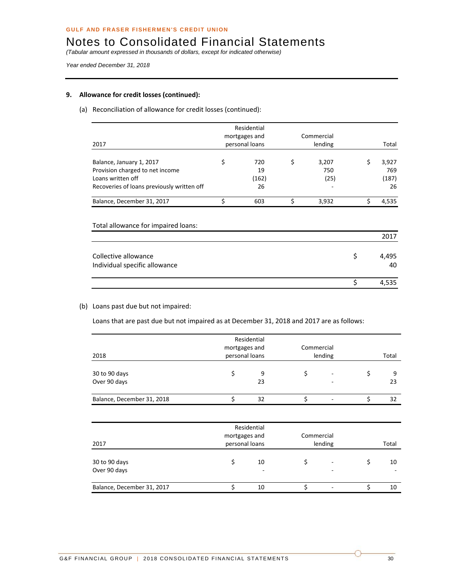*(Tabular amount expressed in thousands of dollars, except for indicated otherwise)* 

*Year ended December 31, 2018* 

#### **9. Allowance for credit losses (continued):**

#### (a) Reconciliation of allowance for credit losses (continued):

|                                            | Residential<br>mortgages and |       |         | Commercial |    |       |
|--------------------------------------------|------------------------------|-------|---------|------------|----|-------|
| 2017                                       | personal loans               |       | lending |            |    | Total |
|                                            |                              |       |         |            |    |       |
| Balance, January 1, 2017                   | \$                           | 720   | \$      | 3,207      | \$ | 3,927 |
| Provision charged to net income            |                              | 19    |         | 750        |    | 769   |
| Loans written off                          |                              | (162) |         | (25)       |    | (187) |
| Recoveries of loans previously written off |                              | 26    |         |            |    | 26    |
| Balance, December 31, 2017                 | \$                           | 603   | Ś       | 3,932      | Ś  | 4,535 |
| Total allowance for impaired loans:        |                              |       |         |            |    |       |
|                                            |                              |       |         |            |    | 2017  |
| Collective allowance                       |                              |       |         |            | \$ | 4,495 |

Individual specific allowance **and the set of the set of the set of the set of the set of the set of the set of the set of the set of the set of the set of the set of the set of the set of the set of the set of the set of** 

#### (b) Loans past due but not impaired:

Loans that are past due but not impaired as at December 31, 2018 and 2017 are as follows:

| 2018                          | Residential<br>mortgages and<br>personal loans |         | Commercial | lending | Total |         |  |
|-------------------------------|------------------------------------------------|---------|------------|---------|-------|---------|--|
| 30 to 90 days<br>Over 90 days |                                                | 9<br>23 |            | -       |       | 9<br>23 |  |
| Balance, December 31, 2018    |                                                | 32      |            |         |       | 32      |  |

 $\frac{1}{5}$  4,535

| 2017                          | mortgages and<br>personal loans | Residential | Commercial | lending | Total |
|-------------------------------|---------------------------------|-------------|------------|---------|-------|
| 30 to 90 days<br>Over 90 days |                                 | 10<br>٠     |            | ٠<br>-  | 10    |
| Balance, December 31, 2017    |                                 | 10          |            |         | 10    |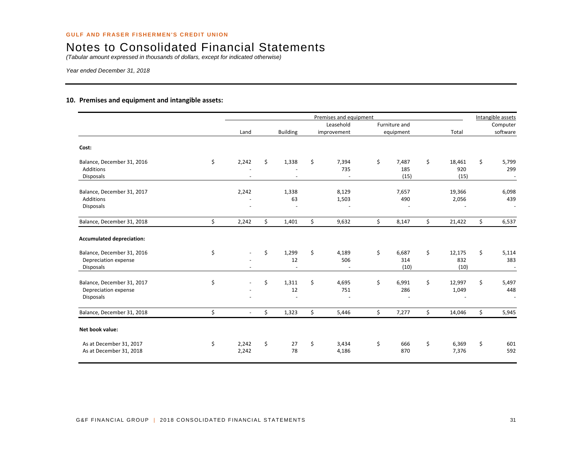*(Tabular amount expressed in thousands of dollars, except for indicated otherwise)* 

*Year ended December 31, 2018* 

#### **10. Premises and equipment and intangible assets:**

|                                                                        |                      |                                         | Premises and equipment   |                            |                             | Intangible assets                              |
|------------------------------------------------------------------------|----------------------|-----------------------------------------|--------------------------|----------------------------|-----------------------------|------------------------------------------------|
|                                                                        |                      |                                         | Leasehold                | Furniture and              |                             | Computer                                       |
|                                                                        | Land                 | <b>Building</b>                         | improvement              | equipment                  | Total                       | software                                       |
| Cost:                                                                  |                      |                                         |                          |                            |                             |                                                |
| Balance, December 31, 2016<br>Additions<br><b>Disposals</b>            | \$<br>2,242          | \$<br>1,338<br>$\overline{\phantom{a}}$ | \$<br>7,394<br>735<br>÷. | \$<br>7,487<br>185<br>(15) | \$<br>18,461<br>920<br>(15) | \$<br>5,799<br>299<br>$\overline{\phantom{a}}$ |
| Balance, December 31, 2017<br>Additions<br><b>Disposals</b>            | 2,242                | 1,338<br>63                             | 8,129<br>1,503           | 7,657<br>490               | 19,366<br>2,056             | 6,098<br>439                                   |
| Balance, December 31, 2018                                             | \$<br>2,242          | \$<br>1,401                             | \$<br>9,632              | \$<br>8,147                | \$<br>21,422                | \$<br>6,537                                    |
| <b>Accumulated depreciation:</b>                                       |                      |                                         |                          |                            |                             |                                                |
| Balance, December 31, 2016<br>Depreciation expense<br><b>Disposals</b> | \$                   | \$<br>1,299<br>12                       | \$<br>4,189<br>506       | \$<br>6,687<br>314<br>(10) | \$<br>12,175<br>832<br>(10) | \$<br>5,114<br>383                             |
| Balance, December 31, 2017<br>Depreciation expense<br>Disposals        | \$                   | \$<br>1,311<br>12                       | \$<br>4,695<br>751       | \$<br>6,991<br>286         | \$<br>12,997<br>1,049       | \$<br>5,497<br>448                             |
| Balance, December 31, 2018                                             | \$<br>$\sim$         | \$<br>1,323                             | \$<br>5,446              | \$<br>7,277                | \$<br>14,046                | \$<br>5,945                                    |
| Net book value:                                                        |                      |                                         |                          |                            |                             |                                                |
| As at December 31, 2017<br>As at December 31, 2018                     | \$<br>2,242<br>2,242 | \$<br>27<br>78                          | \$<br>3,434<br>4,186     | \$<br>666<br>870           | \$<br>6,369<br>7,376        | \$<br>601<br>592                               |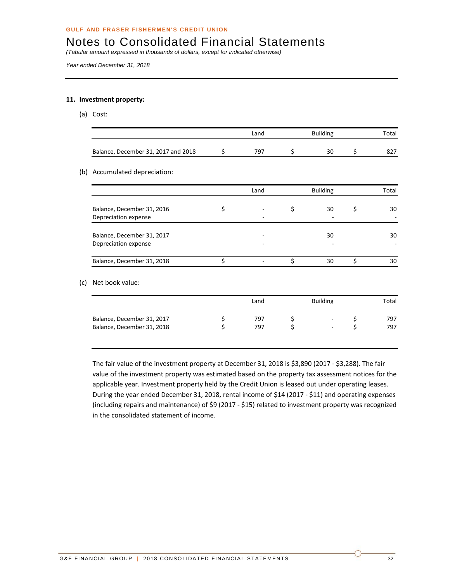*(Tabular amount expressed in thousands of dollars, except for indicated otherwise)* 

*Year ended December 31, 2018* 

#### **11. Investment property:**

(a) Cost:

|                                     | Land | <b>Building</b> |    |  | Total |
|-------------------------------------|------|-----------------|----|--|-------|
| Balance, December 31, 2017 and 2018 | 797  |                 | 30 |  |       |

#### (b) Accumulated depreciation:

|                                                    | Land | <b>Building</b> | Total |
|----------------------------------------------------|------|-----------------|-------|
| Balance, December 31, 2016<br>Depreciation expense |      | 30              | 30    |
| Balance, December 31, 2017<br>Depreciation expense |      | 30              | 30    |
| Balance, December 31, 2018                         |      | 30              | 30    |

#### (c) Net book value:

|                            | Land | <b>Building</b> |        |  | Total |  |
|----------------------------|------|-----------------|--------|--|-------|--|
| Balance, December 31, 2017 | 797  |                 | $\sim$ |  | 797   |  |
| Balance, December 31, 2018 | 797  |                 |        |  | 797   |  |

The fair value of the investment property at December 31, 2018 is \$3,890 (2017 ‐ \$3,288). The fair value of the investment property was estimated based on the property tax assessment notices for the applicable year. Investment property held by the Credit Union is leased out under operating leases. During the year ended December 31, 2018, rental income of \$14 (2017 ‐ \$11) and operating expenses (including repairs and maintenance) of \$9 (2017 ‐ \$15) related to investment property was recognized in the consolidated statement of income.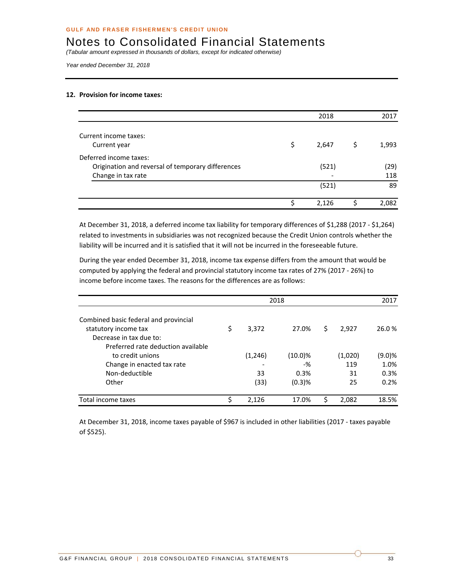*(Tabular amount expressed in thousands of dollars, except for indicated otherwise)* 

*Year ended December 31, 2018* 

#### **12. Provision for income taxes:**

|                                                   | 2018        |   | 2017  |
|---------------------------------------------------|-------------|---|-------|
| Current income taxes:                             |             |   |       |
|                                                   |             |   |       |
| Current year                                      | \$<br>2,647 | S | 1,993 |
| Deferred income taxes:                            |             |   |       |
| Origination and reversal of temporary differences | (521)       |   | (29)  |
| Change in tax rate                                |             |   | 118   |
|                                                   | (521)       |   | 89    |
|                                                   | \$<br>2,126 |   | 2,082 |
|                                                   |             |   |       |

At December 31, 2018, a deferred income tax liability for temporary differences of \$1,288 (2017 ‐ \$1,264) related to investments in subsidiaries was not recognized because the Credit Union controls whether the liability will be incurred and it is satisfied that it will not be incurred in the foreseeable future.

During the year ended December 31, 2018, income tax expense differs from the amount that would be computed by applying the federal and provincial statutory income tax rates of 27% (2017 ‐ 26%) to income before income taxes. The reasons for the differences are as follows:

|                                       |    |         | 2017       |    |         |        |
|---------------------------------------|----|---------|------------|----|---------|--------|
| Combined basic federal and provincial |    |         |            |    |         |        |
| statutory income tax                  | \$ | 3,372   | 27.0%      | \$ | 2,927   | 26.0 % |
| Decrease in tax due to:               |    |         |            |    |         |        |
| Preferred rate deduction available    |    |         |            |    |         |        |
| to credit unions                      |    | (1,246) | $(10.0)\%$ |    | (1,020) | (9.0)% |
| Change in enacted tax rate            |    |         | -%         |    | 119     | 1.0%   |
| Non-deductible                        |    | 33      | 0.3%       |    | 31      | 0.3%   |
| Other                                 |    | (33)    | $(0.3)$ %  |    | 25      | 0.2%   |
| Total income taxes                    | ς  | 2,126   | 17.0%      | Ś  | 2,082   | 18.5%  |

At December 31, 2018, income taxes payable of \$967 is included in other liabilities (2017 ‐ taxes payable of \$525).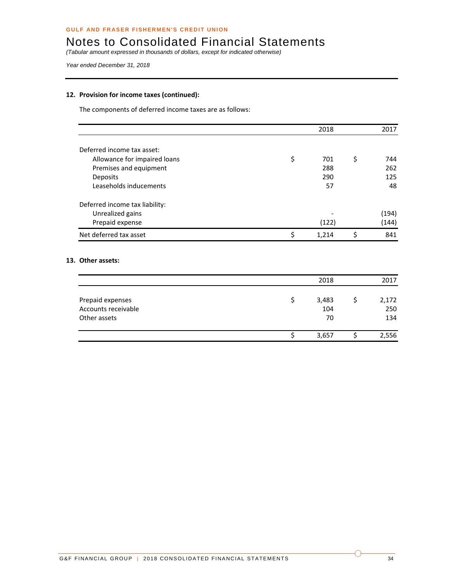*(Tabular amount expressed in thousands of dollars, except for indicated otherwise)* 

*Year ended December 31, 2018* 

#### **12. Provision for income taxes (continued):**

The components of deferred income taxes are as follows:

|                                |    | 2018  | 2017      |
|--------------------------------|----|-------|-----------|
|                                |    |       |           |
| Deferred income tax asset:     |    |       |           |
| Allowance for impaired loans   | \$ | 701   | \$<br>744 |
| Premises and equipment         |    | 288   | 262       |
| Deposits                       |    | 290   | 125       |
| Leaseholds inducements         |    | 57    | 48        |
| Deferred income tax liability: |    |       |           |
| Unrealized gains               |    |       | (194)     |
| Prepaid expense                |    | (122) | (144)     |
| Net deferred tax asset         | S  | 1.214 | 841       |

#### **13. Other assets:**

|                                                         | 2018               | 2017                |
|---------------------------------------------------------|--------------------|---------------------|
| Prepaid expenses<br>Accounts receivable<br>Other assets | 3,483<br>104<br>70 | 2,172<br>250<br>134 |
|                                                         | 3,657              | 2,556               |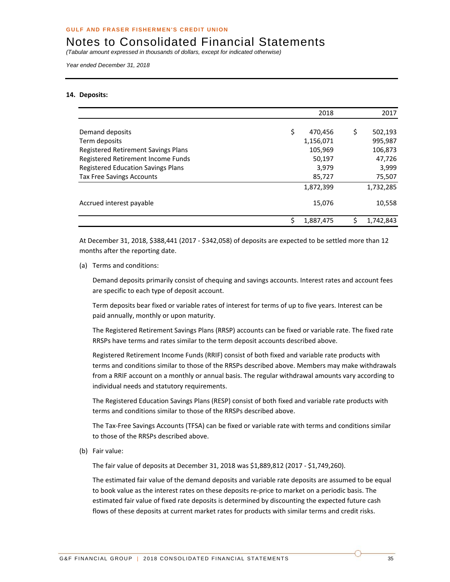*(Tabular amount expressed in thousands of dollars, except for indicated otherwise)* 

*Year ended December 31, 2018* 

#### **14. Deposits:**

|                                           | 2018           |   | 2017      |
|-------------------------------------------|----------------|---|-----------|
|                                           |                |   |           |
| Demand deposits                           | \$<br>470,456  | S | 502,193   |
| Term deposits                             | 1,156,071      |   | 995,987   |
| Registered Retirement Savings Plans       | 105,969        |   | 106,873   |
| Registered Retirement Income Funds        | 50,197         |   | 47,726    |
| <b>Registered Education Savings Plans</b> | 3,979          |   | 3,999     |
| <b>Tax Free Savings Accounts</b>          | 85,727         |   | 75,507    |
|                                           | 1,872,399      |   | 1,732,285 |
| Accrued interest payable                  | 15,076         |   | 10,558    |
|                                           | ς<br>1,887,475 |   | 1,742,843 |

At December 31, 2018, \$388,441 (2017 ‐ \$342,058) of deposits are expected to be settled more than 12 months after the reporting date.

(a) Terms and conditions:

Demand deposits primarily consist of chequing and savings accounts. Interest rates and account fees are specific to each type of deposit account.

Term deposits bear fixed or variable rates of interest for terms of up to five years. Interest can be paid annually, monthly or upon maturity.

The Registered Retirement Savings Plans (RRSP) accounts can be fixed or variable rate. The fixed rate RRSPs have terms and rates similar to the term deposit accounts described above.

Registered Retirement Income Funds (RRIF) consist of both fixed and variable rate products with terms and conditions similar to those of the RRSPs described above. Members may make withdrawals from a RRIF account on a monthly or annual basis. The regular withdrawal amounts vary according to individual needs and statutory requirements.

The Registered Education Savings Plans (RESP) consist of both fixed and variable rate products with terms and conditions similar to those of the RRSPs described above.

The Tax‐Free Savings Accounts (TFSA) can be fixed or variable rate with terms and conditions similar to those of the RRSPs described above.

(b) Fair value:

The fair value of deposits at December 31, 2018 was \$1,889,812 (2017 ‐ \$1,749,260).

The estimated fair value of the demand deposits and variable rate deposits are assumed to be equal to book value as the interest rates on these deposits re-price to market on a periodic basis. The estimated fair value of fixed rate deposits is determined by discounting the expected future cash flows of these deposits at current market rates for products with similar terms and credit risks.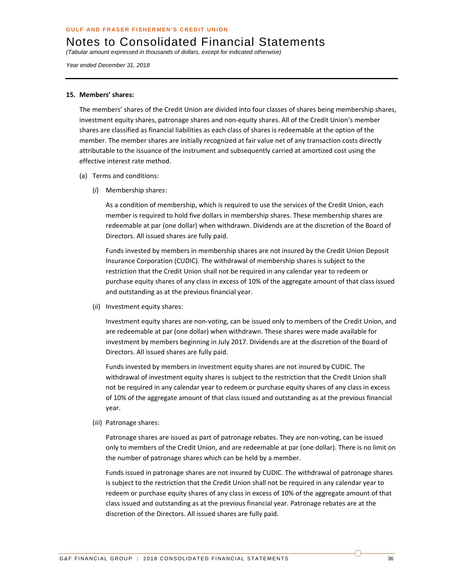*(Tabular amount expressed in thousands of dollars, except for indicated otherwise)* 

*Year ended December 31, 2018* 

#### **15. Members' shares:**

The members' shares of the Credit Union are divided into four classes of shares being membership shares, investment equity shares, patronage shares and non‐equity shares. All of the Credit Union's member shares are classified as financial liabilities as each class of shares is redeemable at the option of the member. The member shares are initially recognized at fair value net of any transaction costs directly attributable to the issuance of the instrument and subsequently carried at amortized cost using the effective interest rate method.

- (a) Terms and conditions:
	- (*i*) Membership shares:

As a condition of membership, which is required to use the services of the Credit Union, each member is required to hold five dollars in membership shares. These membership shares are redeemable at par (one dollar) when withdrawn. Dividends are at the discretion of the Board of Directors. All issued shares are fully paid.

Funds invested by members in membership shares are not insured by the Credit Union Deposit Insurance Corporation (CUDIC). The withdrawal of membership shares is subject to the restriction that the Credit Union shall not be required in any calendar year to redeem or purchase equity shares of any class in excess of 10% of the aggregate amount of that class issued and outstanding as at the previous financial year.

(*ii*) Investment equity shares:

Investment equity shares are non‐voting, can be issued only to members of the Credit Union, and are redeemable at par (one dollar) when withdrawn. These shares were made available for investment by members beginning in July 2017. Dividends are at the discretion of the Board of Directors. All issued shares are fully paid.

Funds invested by members in investment equity shares are not insured by CUDIC. The withdrawal of investment equity shares is subject to the restriction that the Credit Union shall not be required in any calendar year to redeem or purchase equity shares of any class in excess of 10% of the aggregate amount of that class issued and outstanding as at the previous financial year.

(*iii*) Patronage shares:

Patronage shares are issued as part of patronage rebates. They are non‐voting, can be issued only to members of the Credit Union, and are redeemable at par (one dollar). There is no limit on the number of patronage shares which can be held by a member.

Funds issued in patronage shares are not insured by CUDIC. The withdrawal of patronage shares is subject to the restriction that the Credit Union shall not be required in any calendar year to redeem or purchase equity shares of any class in excess of 10% of the aggregate amount of that class issued and outstanding as at the previous financial year. Patronage rebates are at the discretion of the Directors. All issued shares are fully paid.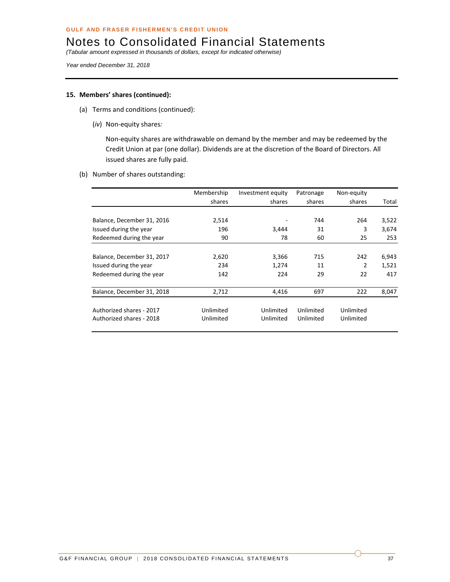*(Tabular amount expressed in thousands of dollars, except for indicated otherwise)* 

*Year ended December 31, 2018* 

#### **15. Members' shares (continued):**

- (a) Terms and conditions (continued):
	- (*iv*) Non‐equity shares*:*

Non‐equity shares are withdrawable on demand by the member and may be redeemed by the Credit Union at par (one dollar). Dividends are at the discretion of the Board of Directors. All issued shares are fully paid.

(b) Number of shares outstanding:

|                            | Membership | Investment equity | Patronage | Non-equity |       |
|----------------------------|------------|-------------------|-----------|------------|-------|
|                            | shares     | shares            | shares    | shares     | Total |
|                            |            |                   |           |            |       |
| Balance, December 31, 2016 | 2,514      |                   | 744       | 264        | 3,522 |
| Issued during the year     | 196        | 3,444             | 31        | 3          | 3,674 |
| Redeemed during the year   | 90         | 78                | 60        | 25         | 253   |
|                            |            |                   |           |            |       |
| Balance, December 31, 2017 | 2,620      | 3,366             | 715       | 242        | 6,943 |
| Issued during the year     | 234        | 1,274             | 11        | 2          | 1,521 |
| Redeemed during the year   | 142        | 224               | 29        | 22         | 417   |
|                            |            |                   |           |            |       |
| Balance, December 31, 2018 | 2,712      | 4,416             | 697       | 222        | 8,047 |
|                            |            |                   |           |            |       |
| Authorized shares - 2017   | Unlimited  | Unlimited         | Unlimited | Unlimited  |       |
| Authorized shares - 2018   | Unlimited  | Unlimited         | Unlimited | Unlimited  |       |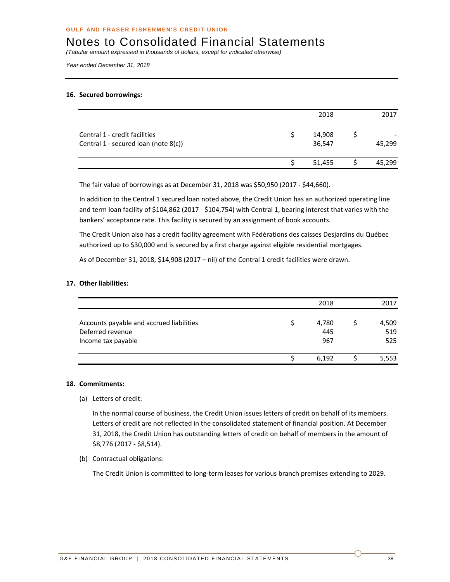*(Tabular amount expressed in thousands of dollars, except for indicated otherwise)* 

*Year ended December 31, 2018* 

#### **16. Secured borrowings:**

|                                                                       | 2018             | 2017   |
|-----------------------------------------------------------------------|------------------|--------|
| Central 1 - credit facilities<br>Central 1 - secured loan (note 8(c)) | 14,908<br>36,547 | 45,299 |
|                                                                       | 51,455           | 45,299 |

The fair value of borrowings as at December 31, 2018 was \$50,950 (2017 ‐ \$44,660).

In addition to the Central 1 secured loan noted above, the Credit Union has an authorized operating line and term loan facility of \$104,862 (2017 - \$104,754) with Central 1, bearing interest that varies with the bankers' acceptance rate. This facility is secured by an assignment of book accounts.

The Credit Union also has a credit facility agreement with Fédérations des caisses Desjardins du Québec authorized up to \$30,000 and is secured by a first charge against eligible residential mortgages.

As of December 31, 2018, \$14,908 (2017 – nil) of the Central 1 credit facilities were drawn.

#### **17. Other liabilities:**

|                                                                                    | 2018                | 2017                |
|------------------------------------------------------------------------------------|---------------------|---------------------|
| Accounts payable and accrued liabilities<br>Deferred revenue<br>Income tax payable | 4,780<br>445<br>967 | 4,509<br>519<br>525 |
|                                                                                    | 6,192               | 5,553               |

#### **18. Commitments:**

(a) Letters of credit:

In the normal course of business, the Credit Union issues letters of credit on behalf of its members. Letters of credit are not reflected in the consolidated statement of financial position. At December 31, 2018, the Credit Union has outstanding letters of credit on behalf of members in the amount of \$8,776 (2017 ‐ \$8,514).

(b) Contractual obligations:

The Credit Union is committed to long‐term leases for various branch premises extending to 2029.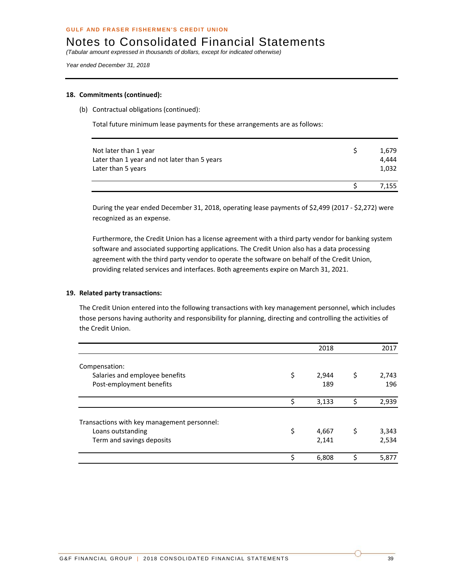*(Tabular amount expressed in thousands of dollars, except for indicated otherwise)* 

*Year ended December 31, 2018* 

#### **18. Commitments (continued):**

(b) Contractual obligations (continued):

Total future minimum lease payments for these arrangements are as follows:

| Not later than 1 year                        | 1.679 |
|----------------------------------------------|-------|
| Later than 1 year and not later than 5 years | 4.444 |
| Later than 5 years                           | 1,032 |
|                                              |       |
|                                              | 7.155 |

During the year ended December 31, 2018, operating lease payments of \$2,499 (2017 ‐ \$2,272) were recognized as an expense.

Furthermore, the Credit Union has a license agreement with a third party vendor for banking system software and associated supporting applications. The Credit Union also has a data processing agreement with the third party vendor to operate the software on behalf of the Credit Union, providing related services and interfaces. Both agreements expire on March 31, 2021.

#### **19. Related party transactions:**

The Credit Union entered into the following transactions with key management personnel, which includes those persons having authority and responsibility for planning, directing and controlling the activities of the Credit Union.

|                                             |    | 2018  |    | 2017  |
|---------------------------------------------|----|-------|----|-------|
| Compensation:                               |    |       |    |       |
| Salaries and employee benefits              | \$ | 2,944 | \$ | 2,743 |
| Post-employment benefits                    |    | 189   |    | 196   |
|                                             | \$ | 3,133 | ς  | 2,939 |
| Transactions with key management personnel: |    |       |    |       |
| Loans outstanding                           | \$ | 4,667 | \$ | 3,343 |
| Term and savings deposits                   |    | 2,141 |    | 2,534 |
|                                             | Ś  | 6,808 | ς  | 5,877 |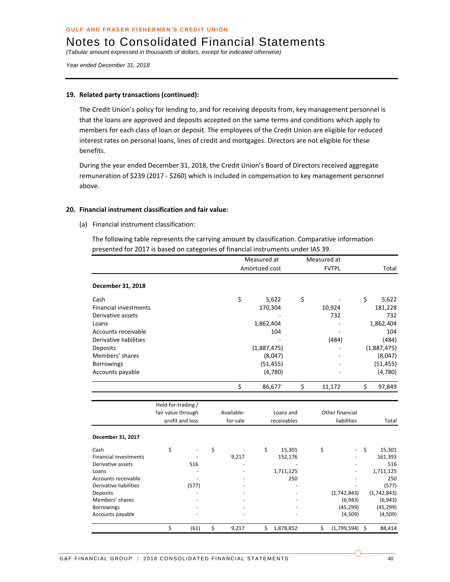*(Tabular amount expressed in thousands of dollars, except for indicated otherwise)* 

*Year ended December 31, 2018* 

#### **19. Related party transactions (continued):**

The Credit Union's policy for lending to, and for receiving deposits from, key management personnel is that the loans are approved and deposits accepted on the same terms and conditions which apply to members for each class of loan or deposit. The employees of the Credit Union are eligible for reduced interest rates on personal loans, lines of credit and mortgages. Directors are not eligible for these benefits.

During the year ended December 31, 2018, the Credit Union's Board of Directors received aggregate remuneration of \$239 (2017 ‐ \$260) which is included in compensation to key management personnel above.

#### **20. Financial instrument classification and fair value:**

(a) Financial instrument classification:

The following table represents the carrying amount by classification. Comparative information presented for 2017 is based on categories of financial instruments under IAS 39.

|                              |                    |                 |             | Measured at |                | Measured at |              |                 |    |             |
|------------------------------|--------------------|-----------------|-------------|-------------|----------------|-------------|--------------|-----------------|----|-------------|
|                              |                    |                 |             |             | Amortized cost |             | <b>FVTPL</b> |                 |    | Total       |
| December 31, 2018            |                    |                 |             |             |                |             |              |                 |    |             |
| Cash                         |                    |                 | \$          |             | 5,622          | \$          |              |                 | \$ | 5,622       |
| <b>Financial investments</b> |                    |                 |             |             | 170,304        |             |              | 10,924          |    | 181,228     |
| Derivative assets            |                    |                 |             |             |                |             |              | 732             |    | 732         |
| Loans                        |                    |                 |             | 1,862,404   |                |             |              |                 |    | 1,862,404   |
| Accounts receivable          |                    |                 |             |             | 104            |             |              |                 |    | 104         |
| Derivative liabilities       |                    |                 |             |             |                |             |              | (484)           |    | (484)       |
| Deposits                     |                    |                 |             | (1,887,475) |                |             |              |                 |    | (1,887,475) |
| Members' shares              |                    |                 |             |             | (8,047)        |             |              |                 |    | (8,047)     |
| <b>Borrowings</b>            |                    |                 |             |             | (51, 455)      |             |              |                 |    | (51, 455)   |
| Accounts payable             |                    |                 |             |             | (4,780)        |             |              |                 |    | (4,780)     |
|                              |                    |                 |             |             |                |             |              |                 |    |             |
|                              |                    |                 | \$          |             | 86,677         | \$          |              | 11,172          | \$ | 97,849      |
|                              |                    |                 |             |             |                |             |              |                 |    |             |
|                              | Held-for-trading / |                 |             |             |                |             |              |                 |    |             |
|                              | fair value through |                 | Available-  |             | Loans and      |             |              | Other financial |    |             |
|                              |                    | profit and loss | for-sale    |             | receivables    |             |              | liabilities     |    | Total       |
| December 31, 2017            |                    |                 |             |             |                |             |              |                 |    |             |
| Cash                         | \$                 |                 | \$          | \$          | 15,301         |             | \$           |                 | \$ | 15,301      |
| <b>Financial investments</b> |                    |                 | 9,217       |             | 152,176        |             |              |                 |    | 161,393     |
| Derivative assets            |                    | 516             |             |             |                |             |              |                 |    | 516         |
| Loans                        |                    |                 |             |             | 1,711,125      |             |              |                 |    | 1,711,125   |
| Accounts receivable          |                    |                 |             |             | 250            |             |              |                 |    | 250         |
| Derivative liabilities       |                    | (577)           |             |             |                |             |              |                 |    | (577)       |
| <b>Deposits</b>              |                    |                 |             |             |                |             |              | (1,742,843)     |    | (1,742,843) |
| Members' shares              |                    |                 |             |             |                |             |              | (6, 943)        |    | (6, 943)    |
| <b>Borrowings</b>            |                    |                 |             |             |                |             |              | (45, 299)       |    | (45, 299)   |
| Accounts payable             |                    |                 |             |             |                |             |              | (4,509)         |    | (4,509)     |
|                              | \$                 | (61)            | \$<br>9,217 | \$          | 1,878,852      |             | \$           | (1,799,594)     | Ś. | 88,414      |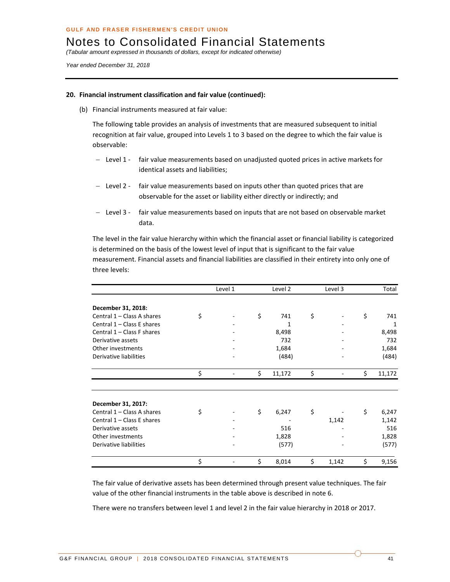*(Tabular amount expressed in thousands of dollars, except for indicated otherwise)* 

*Year ended December 31, 2018* 

#### **20. Financial instrument classification and fair value (continued):**

(b) Financial instruments measured at fair value:

The following table provides an analysis of investments that are measured subsequent to initial recognition at fair value, grouped into Levels 1 to 3 based on the degree to which the fair value is observable:

- Level 1 fair value measurements based on unadjusted quoted prices in active markets for identical assets and liabilities;
- Level 2 fair value measurements based on inputs other than quoted prices that are observable for the asset or liability either directly or indirectly; and
- Level 3 fair value measurements based on inputs that are not based on observable market data.

The level in the fair value hierarchy within which the financial asset or financial liability is categorized is determined on the basis of the lowest level of input that is significant to the fair value measurement. Financial assets and financial liabilities are classified in their entirety into only one of three levels:

|                            | Level 1 | Level 2      | Level 3     |    | Total  |
|----------------------------|---------|--------------|-------------|----|--------|
| December 31, 2018:         |         |              |             |    |        |
| Central 1 - Class A shares | \$      | \$<br>741    | \$          | \$ | 741    |
| Central 1 - Class E shares |         | 1            |             |    | 1      |
| Central 1 - Class F shares |         | 8,498        |             |    | 8,498  |
| Derivative assets          |         | 732          |             |    | 732    |
| Other investments          |         | 1,684        |             |    | 1,684  |
| Derivative liabilities     |         | (484)        |             |    | (484)  |
|                            | \$      | \$<br>11,172 | \$          | \$ | 11,172 |
|                            |         |              |             |    |        |
| December 31, 2017:         |         |              |             |    |        |
| Central 1 - Class A shares | \$      | \$<br>6,247  | \$          | \$ | 6,247  |
| Central 1 - Class E shares |         |              | 1,142       |    | 1,142  |
| Derivative assets          |         | 516          |             |    | 516    |
| Other investments          |         | 1,828        |             |    | 1,828  |
| Derivative liabilities     |         | (577)        |             |    | (577)  |
|                            | \$      | \$<br>8,014  | \$<br>1,142 | Ś  | 9,156  |

The fair value of derivative assets has been determined through present value techniques. The fair value of the other financial instruments in the table above is described in note 6.

There were no transfers between level 1 and level 2 in the fair value hierarchy in 2018 or 2017.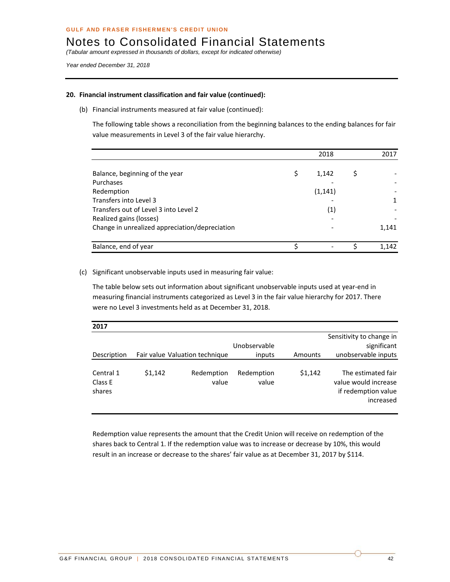*(Tabular amount expressed in thousands of dollars, except for indicated otherwise)* 

*Year ended December 31, 2018* 

#### **20. Financial instrument classification and fair value (continued):**

(b) Financial instruments measured at fair value (continued):

The following table shows a reconciliation from the beginning balances to the ending balances for fair value measurements in Level 3 of the fair value hierarchy.

|                                                | 2018        | 2017  |
|------------------------------------------------|-------------|-------|
| Balance, beginning of the year                 | \$<br>1,142 |       |
| Purchases                                      |             |       |
| Redemption                                     | (1, 141)    |       |
| Transfers into Level 3                         |             |       |
| Transfers out of Level 3 into Level 2          | (1)         |       |
| Realized gains (losses)                        |             |       |
| Change in unrealized appreciation/depreciation |             | 1,141 |
| Balance, end of year                           |             | 1,142 |

(c) Significant unobservable inputs used in measuring fair value:

The table below sets out information about significant unobservable inputs used at year-end in measuring financial instruments categorized as Level 3 in the fair value hierarchy for 2017. There were no Level 3 investments held as at December 31, 2018.

| 2017                           |         |                                |                     |         |                                                                                |
|--------------------------------|---------|--------------------------------|---------------------|---------|--------------------------------------------------------------------------------|
|                                |         |                                | Unobservable        |         | Sensitivity to change in<br>significant                                        |
| Description                    |         | Fair value Valuation technique | inputs              | Amounts | unobservable inputs                                                            |
| Central 1<br>Class E<br>shares | \$1.142 | Redemption<br>value            | Redemption<br>value | \$1,142 | The estimated fair<br>value would increase<br>if redemption value<br>increased |

Redemption value represents the amount that the Credit Union will receive on redemption of the shares back to Central 1. If the redemption value was to increase or decrease by 10%, this would result in an increase or decrease to the shares' fair value as at December 31, 2017 by \$114.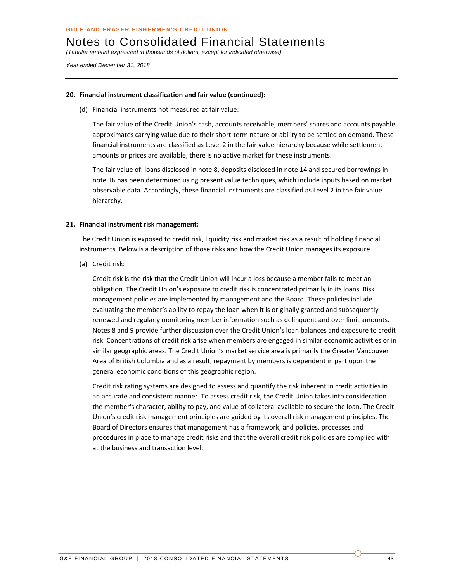*(Tabular amount expressed in thousands of dollars, except for indicated otherwise)* 

*Year ended December 31, 2018* 

#### **20. Financial instrument classification and fair value (continued):**

(d) Financial instruments not measured at fair value:

The fair value of the Credit Union's cash, accounts receivable, members' shares and accounts payable approximates carrying value due to their short-term nature or ability to be settled on demand. These financial instruments are classified as Level 2 in the fair value hierarchy because while settlement amounts or prices are available, there is no active market for these instruments.

The fair value of: loans disclosed in note 8, deposits disclosed in note 14 and secured borrowings in note 16 has been determined using present value techniques, which include inputs based on market observable data. Accordingly, these financial instruments are classified as Level 2 in the fair value hierarchy.

#### **21. Financial instrument risk management:**

The Credit Union is exposed to credit risk, liquidity risk and market risk as a result of holding financial instruments. Below is a description of those risks and how the Credit Union manages its exposure.

(a) Credit risk:

Credit risk is the risk that the Credit Union will incur a loss because a member fails to meet an obligation. The Credit Union's exposure to credit risk is concentrated primarily in its loans. Risk management policies are implemented by management and the Board. These policies include evaluating the member's ability to repay the loan when it is originally granted and subsequently renewed and regularly monitoring member information such as delinquent and over limit amounts. Notes 8 and 9 provide further discussion over the Credit Union's loan balances and exposure to credit risk. Concentrations of credit risk arise when members are engaged in similar economic activities or in similar geographic areas. The Credit Union's market service area is primarily the Greater Vancouver Area of British Columbia and as a result, repayment by members is dependent in part upon the general economic conditions of this geographic region.

Credit risk rating systems are designed to assess and quantify the risk inherent in credit activities in an accurate and consistent manner. To assess credit risk, the Credit Union takes into consideration the member's character, ability to pay, and value of collateral available to secure the loan. The Credit Union's credit risk management principles are guided by its overall risk management principles. The Board of Directors ensures that management has a framework, and policies, processes and procedures in place to manage credit risks and that the overall credit risk policies are complied with at the business and transaction level.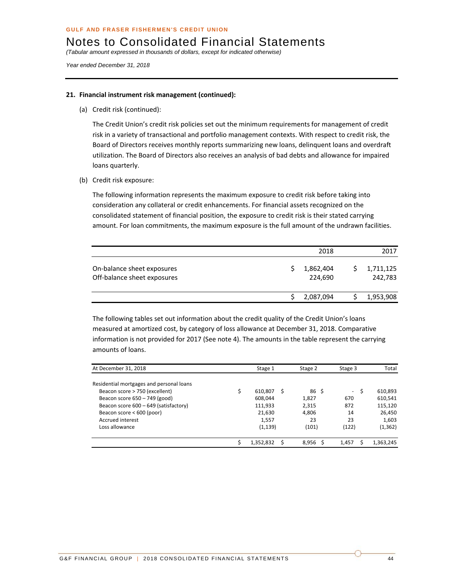*(Tabular amount expressed in thousands of dollars, except for indicated otherwise)* 

*Year ended December 31, 2018* 

#### **21. Financial instrument risk management (continued):**

(a) Credit risk (continued):

The Credit Union's credit risk policies set out the minimum requirements for management of credit risk in a variety of transactional and portfolio management contexts. With respect to credit risk, the Board of Directors receives monthly reports summarizing new loans, delinquent loans and overdraft utilization. The Board of Directors also receives an analysis of bad debts and allowance for impaired loans quarterly.

(b) Credit risk exposure:

The following information represents the maximum exposure to credit risk before taking into consideration any collateral or credit enhancements. For financial assets recognized on the consolidated statement of financial position, the exposure to credit risk is their stated carrying amount. For loan commitments, the maximum exposure is the full amount of the undrawn facilities.

|                                                           | 2018                 | 2017                 |
|-----------------------------------------------------------|----------------------|----------------------|
| On-balance sheet exposures<br>Off-balance sheet exposures | 1,862,404<br>224,690 | 1,711,125<br>242,783 |
|                                                           | 2,087,094            | 1,953,908            |

The following tables set out information about the credit quality of the Credit Union's loans measured at amortized cost, by category of loss allowance at December 31, 2018. Comparative information is not provided for 2017 (See note 4). The amounts in the table represent the carrying amounts of loans.

| At December 31, 2018                     | Stage 1   | Stage 2 | Stage 3     | Total     |
|------------------------------------------|-----------|---------|-------------|-----------|
| Residential mortgages and personal loans |           |         |             |           |
| Beacon score > 750 (excellent)           | 610.807   | 86<br>S | S<br>$\sim$ | 610,893   |
| Beacon score 650 - 749 (good)            | 608,044   | 1,827   | 670         | 610,541   |
| Beacon score 600 - 649 (satisfactory)    | 111,933   | 2,315   | 872         | 115,120   |
| Beacon score < 600 (poor)                | 21,630    | 4,806   | 14          | 26,450    |
| Accrued interest                         | 1,557     | 23      | 23          | 1,603     |
| Loss allowance                           | (1, 139)  | (101)   | (122)       | (1, 362)  |
|                                          | 1,352,832 | 8.956   | 1.457       | 1,363,245 |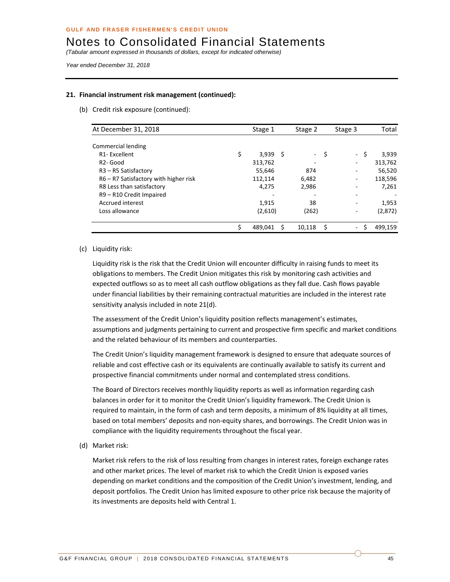*(Tabular amount expressed in thousands of dollars, except for indicated otherwise)* 

*Year ended December 31, 2018* 

#### **21. Financial instrument risk management (continued):**

(b) Credit risk exposure (continued):

| At December 31, 2018                         |    | Stage 1    | Stage 2 | Stage 3                  |      | Total   |
|----------------------------------------------|----|------------|---------|--------------------------|------|---------|
|                                              |    |            |         |                          |      |         |
| Commercial lending                           |    |            |         |                          |      |         |
| R <sub>1</sub> -Excellent                    | \$ | $3,939$ \$ | - \$    |                          | - \$ | 3,939   |
| R <sub>2</sub> - Good                        |    | 313,762    | ۰       | ۰                        |      | 313,762 |
| R <sub>3</sub> - R <sub>5</sub> Satisfactory |    | 55,646     | 874     | $\overline{\phantom{a}}$ |      | 56,520  |
| R6 - R7 Satisfactory with higher risk        |    | 112,114    | 6,482   | ۰                        |      | 118,596 |
| R8 Less than satisfactory                    |    | 4,275      | 2,986   |                          |      | 7,261   |
| R9 - R10 Credit Impaired                     |    |            |         | ۰                        |      |         |
| Accrued interest                             |    | 1,915      | 38      | ۰                        |      | 1,953   |
| Loss allowance                               |    | (2,610)    | (262)   | ۰                        |      | (2,872) |
|                                              | Ś  | 489,041    | 10.118  | $\overline{\phantom{0}}$ | Ŝ    | 499,159 |

#### (c) Liquidity risk:

Liquidity risk is the risk that the Credit Union will encounter difficulty in raising funds to meet its obligations to members. The Credit Union mitigates this risk by monitoring cash activities and expected outflows so as to meet all cash outflow obligations as they fall due. Cash flows payable under financial liabilities by their remaining contractual maturities are included in the interest rate sensitivity analysis included in note 21(d).

The assessment of the Credit Union's liquidity position reflects management's estimates, assumptions and judgments pertaining to current and prospective firm specific and market conditions and the related behaviour of its members and counterparties.

The Credit Union's liquidity management framework is designed to ensure that adequate sources of reliable and cost effective cash or its equivalents are continually available to satisfy its current and prospective financial commitments under normal and contemplated stress conditions.

The Board of Directors receives monthly liquidity reports as well as information regarding cash balances in order for it to monitor the Credit Union's liquidity framework. The Credit Union is required to maintain, in the form of cash and term deposits, a minimum of 8% liquidity at all times, based on total members' deposits and non‐equity shares, and borrowings. The Credit Union was in compliance with the liquidity requirements throughout the fiscal year.

(d) Market risk:

Market risk refers to the risk of loss resulting from changes in interest rates, foreign exchange rates and other market prices. The level of market risk to which the Credit Union is exposed varies depending on market conditions and the composition of the Credit Union's investment, lending, and deposit portfolios. The Credit Union has limited exposure to other price risk because the majority of its investments are deposits held with Central 1.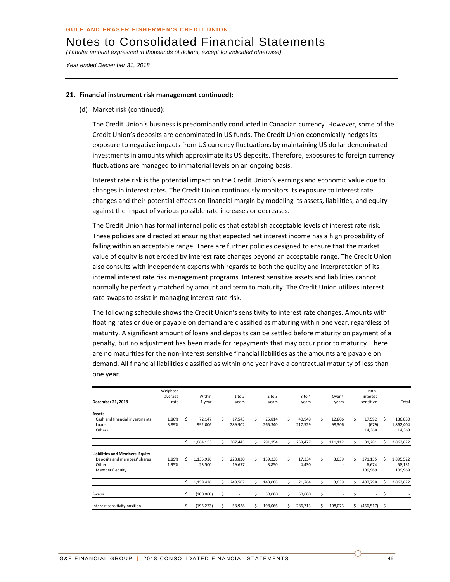*(Tabular amount expressed in thousands of dollars, except for indicated otherwise)* 

*Year ended December 31, 2018* 

#### **21. Financial instrument risk management continued):**

(d) Market risk (continued):

The Credit Union's business is predominantly conducted in Canadian currency. However, some of the Credit Union's deposits are denominated in US funds. The Credit Union economically hedges its exposure to negative impacts from US currency fluctuations by maintaining US dollar denominated investments in amounts which approximate its US deposits. Therefore, exposures to foreign currency fluctuations are managed to immaterial levels on an ongoing basis.

Interest rate risk is the potential impact on the Credit Union's earnings and economic value due to changes in interest rates. The Credit Union continuously monitors its exposure to interest rate changes and their potential effects on financial margin by modeling its assets, liabilities, and equity against the impact of various possible rate increases or decreases.

The Credit Union has formal internal policies that establish acceptable levels of interest rate risk. These policies are directed at ensuring that expected net interest income has a high probability of falling within an acceptable range. There are further policies designed to ensure that the market value of equity is not eroded by interest rate changes beyond an acceptable range. The Credit Union also consults with independent experts with regards to both the quality and interpretation of its internal interest rate risk management programs. Interest sensitive assets and liabilities cannot normally be perfectly matched by amount and term to maturity. The Credit Union utilizes interest rate swaps to assist in managing interest rate risk.

The following schedule shows the Credit Union's sensitivity to interest rate changes. Amounts with floating rates or due or payable on demand are classified as maturing within one year, regardless of maturity. A significant amount of loans and deposits can be settled before maturity on payment of a penalty, but no adjustment has been made for repayments that may occur prior to maturity. There are no maturities for the non-interest sensitive financial liabilities as the amounts are payable on demand. All financial liabilities classified as within one year have a contractual maturity of less than one year.

| December 31, 2018                                                                                  | Weighted<br>average<br>rate |    | Within<br>1 year    |    | 1 to 2<br>years   |    | $2$ to $3$<br>years |    | $3$ to $4$<br>years |    | Over 4<br>years  |    | Non-<br>interest<br>sensitive |    | Total                          |
|----------------------------------------------------------------------------------------------------|-----------------------------|----|---------------------|----|-------------------|----|---------------------|----|---------------------|----|------------------|----|-------------------------------|----|--------------------------------|
| <b>Assets</b><br>Cash and financial investments<br>Loans<br>Others                                 | 1.86%<br>3.89%              | Ś  | 72,147<br>992,006   | Ŝ. | 17,543<br>289,902 | Ś. | 25,814<br>265,340   | Ś. | 40,948<br>217,529   | Ś. | 12,806<br>98,306 | Ś  | 17,592<br>(679)<br>14,368     | Ŝ. | 186,850<br>1,862,404<br>14,368 |
|                                                                                                    |                             | Ś  | 1,064,153           | \$ | 307,445           | Ś  | 291,154             |    | 258,477             | Ś  | 111,112          | Ś  | 31,281                        | Ś  | 2,063,622                      |
| <b>Liabilities and Members' Equity</b><br>Deposits and members' shares<br>Other<br>Members' equity | 1.89%<br>1.95%              | Ś  | 1,135,926<br>23,500 | Ś  | 228,830<br>19,677 | Ś. | 139,238<br>3,850    | \$ | 17,334<br>4,430     | \$ | 3,039            | Ś  | 371,155<br>6,674<br>109,969   | Ś  | 1,895,522<br>58,131<br>109,969 |
|                                                                                                    |                             | Ś  | 1,159,426           | Ś  | 248,507           | Ś. | 143,088             | Ś  | 21,764              | \$ | 3,039            | Ś  | 487,798                       | Ś  | 2,063,622                      |
| Swaps                                                                                              |                             | \$ | (100,000)           | \$ | ٠                 | Ś  | 50,000              | Ś  | 50,000              | \$ |                  | \$ | $\sim$                        | \$ |                                |
| Interest sensitivity position                                                                      |                             | \$ | (195, 273)          | \$ | 58,938            | Ś  | 198,066             | ς. | 286,713             |    | 108,073          | Ś  | (456, 517)                    | -S |                                |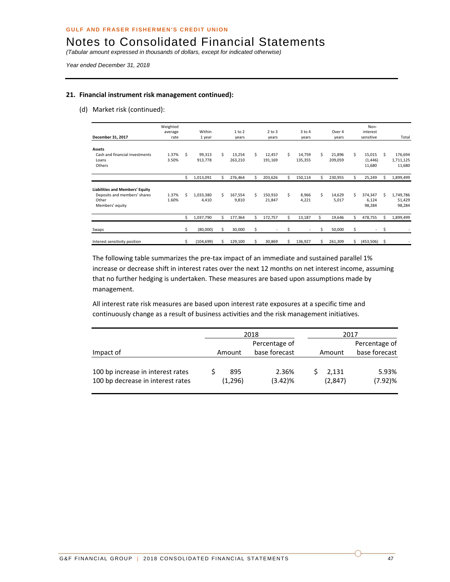*(Tabular amount expressed in thousands of dollars, except for indicated otherwise)* 

*Year ended December 31, 2018* 

#### **21. Financial instrument risk management continued):**

(d) Market risk (continued):

| December 31, 2017                                                                           | Weighted<br>average<br>rate |    | Within             |    | $1$ to $2$        |    | $2$ to $3$<br>years |    | $3$ to $4$<br>years |    | Over 4<br>years   |    | Non-<br>interest<br>sensitive |    | Total                         |
|---------------------------------------------------------------------------------------------|-----------------------------|----|--------------------|----|-------------------|----|---------------------|----|---------------------|----|-------------------|----|-------------------------------|----|-------------------------------|
|                                                                                             |                             |    | 1 year             |    | years             |    |                     |    |                     |    |                   |    |                               |    |                               |
| <b>Assets</b><br>Cash and financial investments<br>Loans                                    | 1.37%<br>3.50%              | Ś. | 99,313<br>913,778  | Ś. | 13,254<br>263,210 | \$ | 12,457<br>191,169   | \$ | 14,759<br>135,355   | Ś. | 21,896<br>209,059 | Ś  | 15,015<br>(1, 446)            | Ś  | 176,694<br>1,711,125          |
| Others                                                                                      |                             |    |                    |    |                   |    |                     |    |                     |    |                   |    | 11,680                        |    | 11,680                        |
|                                                                                             |                             | \$ | 1,013,091          | Ś  | 276,464           | Ś  | 203,626             | Ś  | 150,114             | Ś  | 230,955           | Ś  | 25,249                        | Ś  | 1,899,499                     |
| Liabilities and Members' Equity<br>Deposits and members' shares<br>Other<br>Members' equity | 1.37%<br>1.60%              | Ś  | 1,033,380<br>4,410 | Ś. | 167.554<br>9,810  | Ś. | 150,910<br>21,847   | Ś. | 8,966<br>4,221      | Ś. | 14,629<br>5,017   | Ś  | 374,347<br>6,124<br>98,284    | Ś  | 1,749,786<br>51,429<br>98,284 |
|                                                                                             |                             | \$ | 1,037,790          | Ś  | 177,364           | \$ | 172,757             | \$ | 13,187              | \$ | 19,646            | \$ | 478,755                       | Ś  | 1,899,499                     |
| Swaps                                                                                       |                             | \$ | (80,000)           | Ŝ. | 30,000            | \$ |                     | \$ | $\overline{a}$      |    | 50,000            | \$ | $\overline{\phantom{a}}$      | \$ |                               |
| Interest sensitivity position                                                               |                             | \$ | (104, 699)         | \$ | 129,100           | \$ | 30,869              | Ś. | 136,927             | Ś. | 261,309           | \$ | (453, 506)                    | \$ |                               |

The following table summarizes the pre-tax impact of an immediate and sustained parallel 1% increase or decrease shift in interest rates over the next 12 months on net interest income, assuming that no further hedging is undertaken. These measures are based upon assumptions made by management.

All interest rate risk measures are based upon interest rate exposures at a specific time and continuously change as a result of business activities and the risk management initiatives.

|                                                                        |                | 2018                | 2017             |                     |  |  |  |  |  |
|------------------------------------------------------------------------|----------------|---------------------|------------------|---------------------|--|--|--|--|--|
|                                                                        |                | Percentage of       |                  | Percentage of       |  |  |  |  |  |
| Impact of                                                              | Amount         | base forecast       | Amount           | base forecast       |  |  |  |  |  |
| 100 bp increase in interest rates<br>100 bp decrease in interest rates | 895<br>(1,296) | 2.36%<br>$(3.42)\%$ | 2,131<br>(2,847) | 5.93%<br>$(7.92)\%$ |  |  |  |  |  |